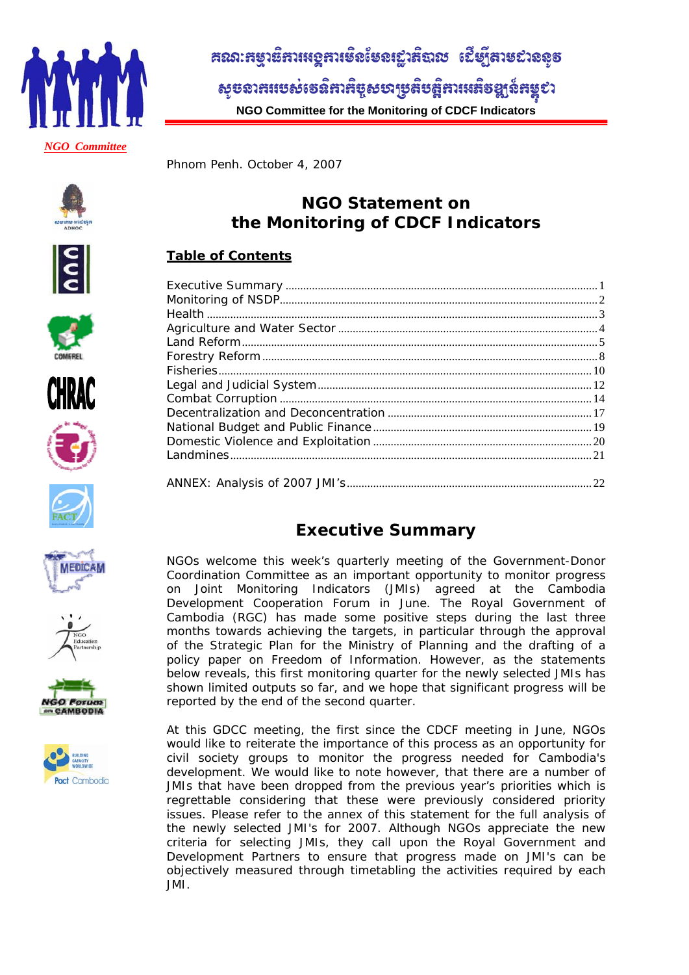

# ิ สณา: หยุวย์หาเหอหาเชิงเ์ชอเฐาหิฉาช เปีย์<sub>โ</sub>หาชยาจจุธ

សូមលាគរបេស់ទេនិគារកិច្ចសហប្រតិបត្តិការអេតិចឡង៍កម្ពុជា **NGO Committee for the Monitoring of CDCF Indicators** 

Phnom Penh. October 4, 2007





















**NGO Statement on the Monitoring of CDCF Indicators** 

## **Table of Contents**

## **Executive Summary**

NGOs welcome this week's quarterly meeting of the Government-Donor Coordination Committee as an important opportunity to monitor progress on Joint Monitoring Indicators (JMIs) agreed at the Cambodia Development Cooperation Forum in June. The Royal Government of Cambodia (RGC) has made some positive steps during the last three months towards achieving the targets, in particular through the approval of the Strategic Plan for the Ministry of Planning and the drafting of a policy paper on Freedom of Information. However, as the statements below reveals, this first monitoring quarter for the newly selected JMIs has shown limited outputs so far, and we hope that significant progress will be reported by the end of the second quarter.

At this GDCC meeting, the first since the CDCF meeting in June, NGOs would like to reiterate the importance of this process as an opportunity for civil society groups to monitor the progress needed for Cambodia's development. We would like to note however, that there are a number of JMIs that have been dropped from the previous year's priorities which is regrettable considering that these were previously considered priority issues. Please refer to the annex of this statement for the full analysis of the newly selected JMI's for 2007. Although NGOs appreciate the new criteria for selecting JMIs, they call upon the Royal Government and Development Partners to ensure that progress made on JMI's can be objectively measured through timetabling the activities required by each JMI.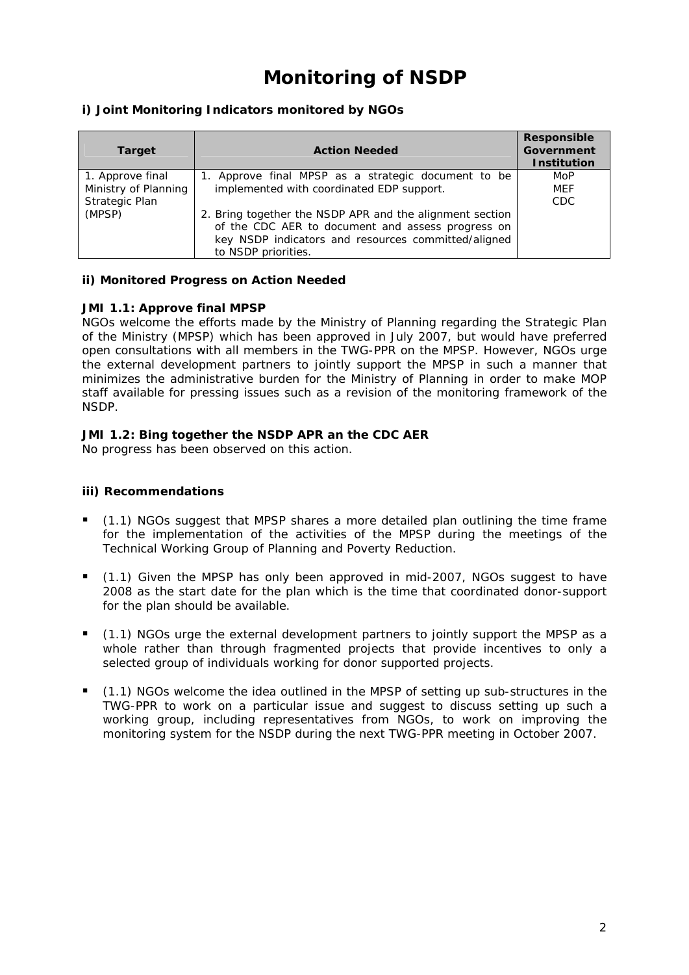# **Monitoring of NSDP**

## **i) Joint Monitoring Indicators monitored by NGOs**

| <b>Target</b>         | <b>Action Needed</b>                                     | <b>Responsible</b><br><b>Government</b><br><b>Institution</b> |
|-----------------------|----------------------------------------------------------|---------------------------------------------------------------|
| 1. Approve final      | 1. Approve final MPSP as a strategic document to be      | MoP                                                           |
| Ministry of Planning  | implemented with coordinated EDP support.                | MEF                                                           |
| <b>Strategic Plan</b> |                                                          | CDC.                                                          |
| (MPSP)                | 2. Bring together the NSDP APR and the alignment section |                                                               |
|                       | of the CDC AER to document and assess progress on        |                                                               |
|                       | key NSDP indicators and resources committed/aligned      |                                                               |
|                       | to NSDP priorities.                                      |                                                               |

### **ii) Monitored Progress on Action Needed**

### *JMI 1.1: Approve final MPSP*

NGOs welcome the efforts made by the Ministry of Planning regarding the Strategic Plan of the Ministry (MPSP) which has been approved in July 2007, but would have preferred open consultations with all members in the TWG-PPR on the MPSP. However, NGOs urge the external development partners to jointly support the MPSP in such a manner that minimizes the administrative burden for the Ministry of Planning in order to make MOP staff available for pressing issues such as a revision of the monitoring framework of the NSDP.

## *JMI 1.2: Bing together the NSDP APR an the CDC AER*

No progress has been observed on this action.

- (1.1) NGOs suggest that MPSP shares a more detailed plan outlining the time frame for the implementation of the activities of the MPSP during the meetings of the Technical Working Group of Planning and Poverty Reduction.
- (1.1) Given the MPSP has only been approved in mid-2007, NGOs suggest to have 2008 as the start date for the plan which is the time that coordinated donor-support for the plan should be available.
- (1.1) NGOs urge the external development partners to jointly support the MPSP as a whole rather than through fragmented projects that provide incentives to only a selected group of individuals working for donor supported projects.
- (1.1) NGOs welcome the idea outlined in the MPSP of setting up sub-structures in the TWG-PPR to work on a particular issue and suggest to discuss setting up such a working group, including representatives from NGOs, to work on improving the monitoring system for the NSDP during the next TWG-PPR meeting in October 2007.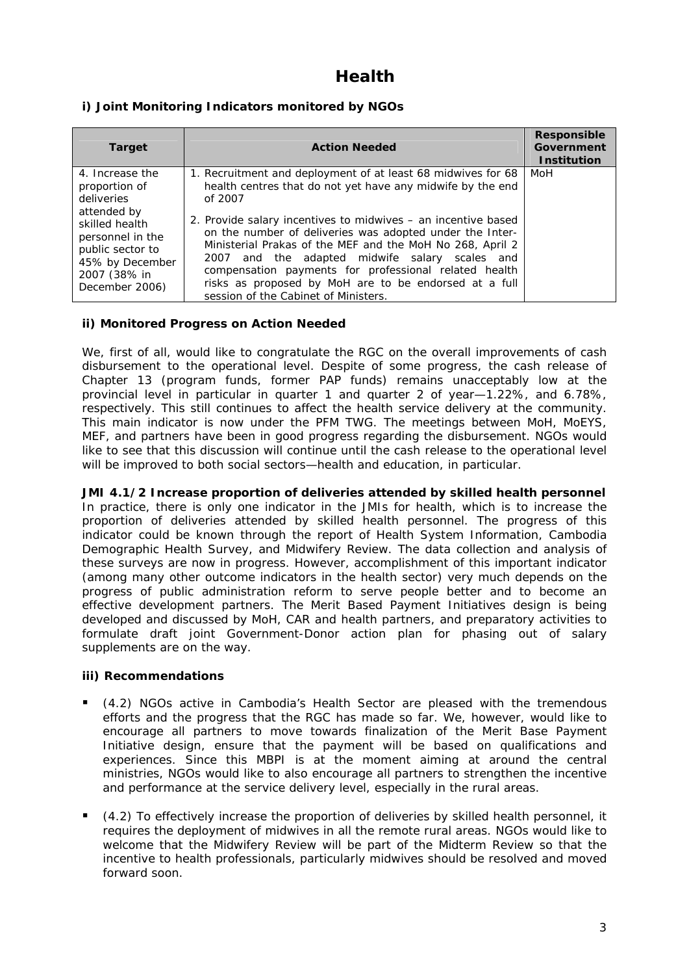## **Health**

## **i) Joint Monitoring Indicators monitored by NGOs**

| <b>Target</b>                                                                                                                                                                | <b>Action Needed</b>                                                                                                                                                                                                                                                                                                                                                                                                                                                                                                                        | <b>Responsible</b><br>Government<br><b>Institution</b> |
|------------------------------------------------------------------------------------------------------------------------------------------------------------------------------|---------------------------------------------------------------------------------------------------------------------------------------------------------------------------------------------------------------------------------------------------------------------------------------------------------------------------------------------------------------------------------------------------------------------------------------------------------------------------------------------------------------------------------------------|--------------------------------------------------------|
| 4. Increase the<br>proportion of<br>deliveries<br>attended by<br>skilled health<br>personnel in the<br>public sector to<br>45% by December<br>2007 (38% in<br>December 2006) | 1. Recruitment and deployment of at least 68 midwives for 68<br>health centres that do not yet have any midwife by the end<br>of 2007<br>2. Provide salary incentives to midwives – an incentive based<br>on the number of deliveries was adopted under the Inter-<br>Ministerial Prakas of the MEF and the MoH No 268, April 2<br>2007 and the adapted midwife salary scales and<br>compensation payments for professional related health<br>risks as proposed by MoH are to be endorsed at a full<br>session of the Cabinet of Ministers. | MoH                                                    |

## **ii) Monitored Progress on Action Needed**

We, first of all, would like to congratulate the RGC on the overall improvements of cash disbursement to the operational level. Despite of some progress, the cash release of Chapter 13 (program funds, former PAP funds) remains unacceptably low at the provincial level in particular in quarter 1 and quarter 2 of year—1.22%, and 6.78%, respectively. This still continues to affect the health service delivery at the community. This main indicator is now under the PFM TWG. The meetings between MoH, MoEYS, MEF, and partners have been in good progress regarding the disbursement. NGOs would like to see that this discussion will continue until the cash release to the operational level will be improved to both social sectors—health and education, in particular.

*JMI 4.1/2 Increase proportion of deliveries attended by skilled health personnel* In practice, there is only one indicator in the JMIs for health, which is to increase the proportion of deliveries attended by skilled health personnel. The progress of this indicator could be known through the report of Health System Information, Cambodia Demographic Health Survey, and Midwifery Review. The data collection and analysis of these surveys are now in progress. However, accomplishment of this important indicator (among many other outcome indicators in the health sector) very much depends on the progress of public administration reform to serve people better and to become an effective development partners. The Merit Based Payment Initiatives design is being developed and discussed by MoH, CAR and health partners, and preparatory activities to formulate draft joint Government-Donor action plan for phasing out of salary supplements are on the way.

- (4.2) NGOs active in Cambodia's Health Sector are pleased with the tremendous efforts and the progress that the RGC has made so far. We, however, would like to encourage all partners to move towards finalization of the Merit Base Payment Initiative design, ensure that the payment will be based on qualifications and experiences. Since this MBPI is at the moment aiming at around the central ministries, NGOs would like to also encourage all partners to strengthen the incentive and performance at the service delivery level, especially in the rural areas.
- (4.2) To effectively increase the proportion of deliveries by skilled health personnel, it requires the deployment of midwives in all the remote rural areas. NGOs would like to welcome that the Midwifery Review will be part of the Midterm Review so that the incentive to health professionals, particularly midwives should be resolved and moved forward soon.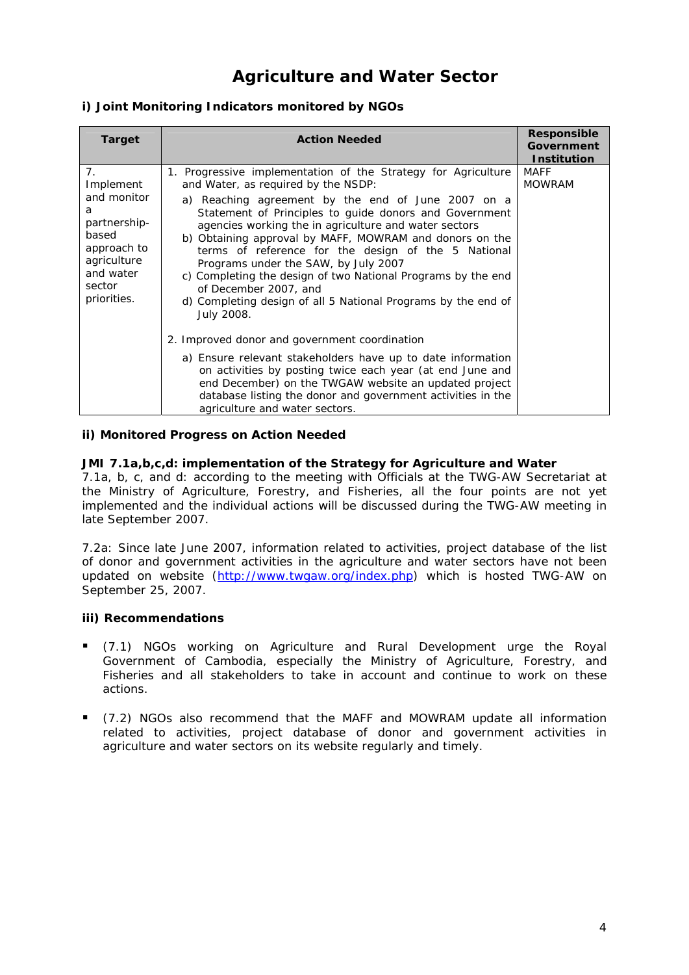## **Agriculture and Water Sector**

## **i) Joint Monitoring Indicators monitored by NGOs**

| <b>Target</b>                                                                                                                    | <b>Action Needed</b>                                                                                                                                                                                                                                                                                                                                                                                                                                                                                                                                                                                                                                                                                                                                                                                                                                                                                                                                   | Responsible<br><b>Government</b><br><b>Institution</b> |
|----------------------------------------------------------------------------------------------------------------------------------|--------------------------------------------------------------------------------------------------------------------------------------------------------------------------------------------------------------------------------------------------------------------------------------------------------------------------------------------------------------------------------------------------------------------------------------------------------------------------------------------------------------------------------------------------------------------------------------------------------------------------------------------------------------------------------------------------------------------------------------------------------------------------------------------------------------------------------------------------------------------------------------------------------------------------------------------------------|--------------------------------------------------------|
| 7.<br>Implement<br>and monitor<br>a<br>partnership-<br>based<br>approach to<br>agriculture<br>and water<br>sector<br>priorities. | 1. Progressive implementation of the Strategy for Agriculture<br>and Water, as required by the NSDP:<br>a) Reaching agreement by the end of June 2007 on a<br>Statement of Principles to guide donors and Government<br>agencies working the in agriculture and water sectors<br>b) Obtaining approval by MAFF, MOWRAM and donors on the<br>terms of reference for the design of the 5 National<br>Programs under the SAW, by July 2007<br>c) Completing the design of two National Programs by the end<br>of December 2007, and<br>d) Completing design of all 5 National Programs by the end of<br>July 2008.<br>2. Improved donor and government coordination<br>a) Ensure relevant stakeholders have up to date information<br>on activities by posting twice each year (at end June and<br>end December) on the TWGAW website an updated project<br>database listing the donor and government activities in the<br>agriculture and water sectors. | MAFF<br><b>MOWRAM</b>                                  |

### **ii) Monitored Progress on Action Needed**

## *JMI 7.1a,b,c,d: implementation of the Strategy for Agriculture and Water*

7.1a, b, c, and d: according to the meeting with Officials at the TWG-AW Secretariat at the Ministry of Agriculture, Forestry, and Fisheries, all the four points are not yet implemented and the individual actions will be discussed during the TWG-AW meeting in late September 2007.

7.2a: Since late June 2007, information related to activities, project database of the list of donor and government activities in the agriculture and water sectors have not been updated on website (http://www.twgaw.org/index.php) which is hosted TWG-AW on September 25, 2007.

- (7.1) NGOs working on Agriculture and Rural Development urge the Royal Government of Cambodia, especially the Ministry of Agriculture, Forestry, and Fisheries and all stakeholders to take in account and continue to work on these actions.
- (7.2) NGOs also recommend that the MAFF and MOWRAM update all information related to activities, project database of donor and government activities in agriculture and water sectors on its website regularly and timely.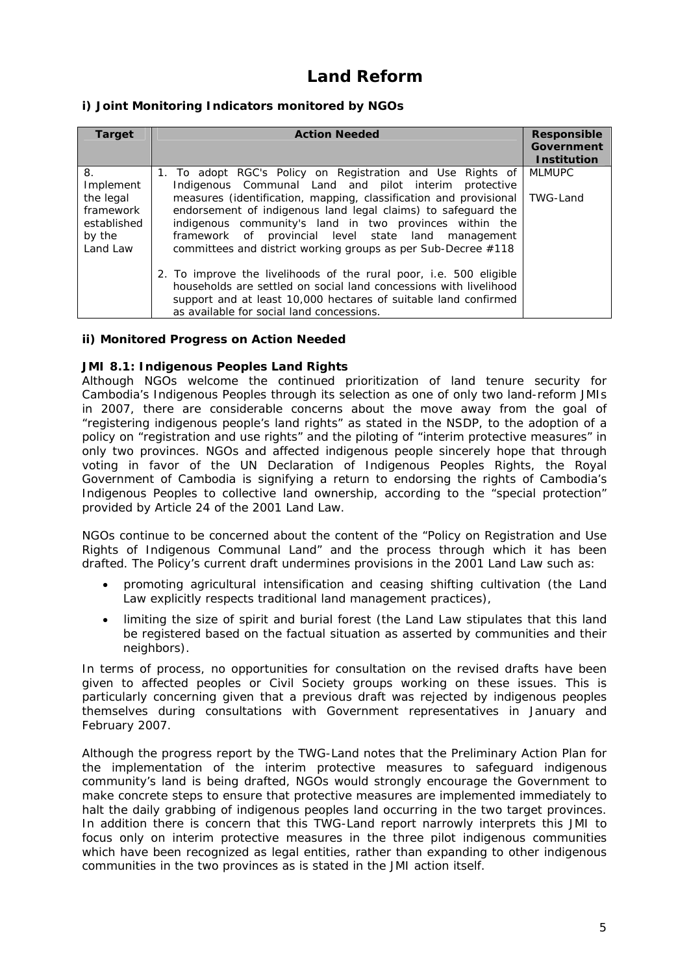## **Land Reform**

## **i) Joint Monitoring Indicators monitored by NGOs**

| <b>Target</b>                                                                  | <b>Action Needed</b>                                                                                                                                                                                                                                                                                                                                                                                                                         | <b>Responsible</b><br><b>Government</b><br><b>Institution</b> |
|--------------------------------------------------------------------------------|----------------------------------------------------------------------------------------------------------------------------------------------------------------------------------------------------------------------------------------------------------------------------------------------------------------------------------------------------------------------------------------------------------------------------------------------|---------------------------------------------------------------|
| 8.<br>Implement<br>the legal<br>framework<br>established<br>by the<br>Land Law | 1. To adopt RGC's Policy on Registration and Use Rights of<br>Indigenous Communal Land and pilot interim protective<br>measures (identification, mapping, classification and provisional<br>endorsement of indigenous land legal claims) to safeguard the<br>indigenous community's land in two provinces within the<br>framework of provincial level state land management<br>committees and district working groups as per Sub-Decree #118 | <b>MLMUPC</b><br>TWG-Land                                     |
|                                                                                | 2. To improve the livelihoods of the rural poor, i.e. 500 eligible<br>households are settled on social land concessions with livelihood<br>support and at least 10,000 hectares of suitable land confirmed<br>as available for social land concessions.                                                                                                                                                                                      |                                                               |

### **ii) Monitored Progress on Action Needed**

#### *JMI 8.1: Indigenous Peoples Land Rights*

Although NGOs welcome the continued prioritization of land tenure security for Cambodia's Indigenous Peoples through its selection as one of only two land-reform JMIs in 2007, there are considerable concerns about the move away from the goal of "registering indigenous people's land rights" as stated in the NSDP, to the adoption of a policy on "registration and use rights" and the piloting of "interim protective measures" in only two provinces. NGOs and affected indigenous people sincerely hope that through voting in favor of the UN Declaration of Indigenous Peoples Rights, the Royal Government of Cambodia is signifying a return to endorsing the rights of Cambodia's Indigenous Peoples to collective land ownership, according to the "special protection" provided by Article 24 of the 2001 Land Law.

NGOs continue to be concerned about the content of the "Policy on Registration and Use Rights of Indigenous Communal Land" and the process through which it has been drafted. The Policy's current draft undermines provisions in the 2001 Land Law such as:

- promoting agricultural intensification and ceasing shifting cultivation (the Land Law explicitly respects traditional land management practices),
- limiting the size of spirit and burial forest (the Land Law stipulates that this land be registered based on the factual situation as asserted by communities and their neighbors).

In terms of process, no opportunities for consultation on the revised drafts have been given to affected peoples or Civil Society groups working on these issues. This is particularly concerning given that a previous draft was rejected by indigenous peoples themselves during consultations with Government representatives in January and February 2007.

Although the progress report by the TWG-Land notes that the Preliminary Action Plan for the implementation of the interim protective measures to safeguard indigenous community's land is being drafted, NGOs would strongly encourage the Government to make concrete steps to ensure that protective measures are implemented immediately to halt the daily grabbing of indigenous peoples land occurring in the two target provinces. In addition there is concern that this TWG-Land report narrowly interprets this JMI to focus only on interim protective measures in the three pilot indigenous communities which have been recognized as legal entities, rather than expanding to other indigenous communities in the two provinces as is stated in the JMI action itself.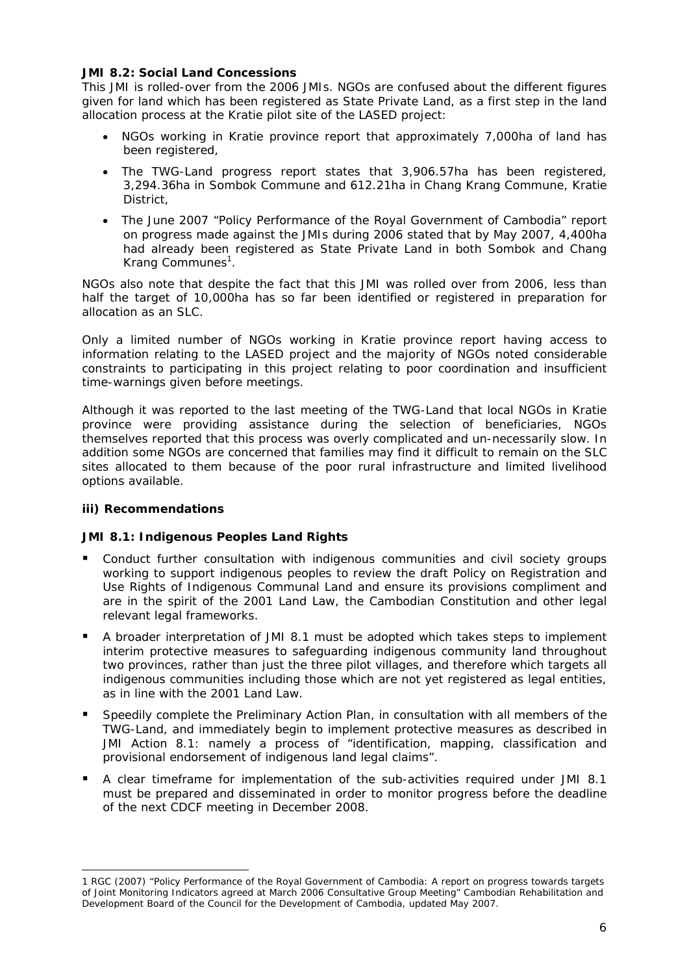### *JMI 8.2: Social Land Concessions*

This JMI is rolled-over from the 2006 JMIs. NGOs are confused about the different figures given for land which has been registered as State Private Land, as a first step in the land allocation process at the Kratie pilot site of the LASED project:

- NGOs working in Kratie province report that approximately 7,000ha of land has been registered,
- The TWG-Land progress report states that 3,906.57ha has been registered, 3,294.36ha in Sombok Commune and 612.21ha in Chang Krang Commune, Kratie District,
- The June 2007 "Policy Performance of the Royal Government of Cambodia" report on progress made against the JMIs during 2006 stated that by May 2007, 4,400ha had already been registered as State Private Land in both Sombok and Chang Krang Communes<sup>1</sup>.

NGOs also note that despite the fact that this JMI was rolled over from 2006, less than half the target of 10,000ha has so far been identified or registered in preparation for allocation as an SLC.

Only a limited number of NGOs working in Kratie province report having access to information relating to the LASED project and the majority of NGOs noted considerable constraints to participating in this project relating to poor coordination and insufficient time-warnings given before meetings.

Although it was reported to the last meeting of the TWG-Land that local NGOs in Kratie province were providing assistance during the selection of beneficiaries, NGOs themselves reported that this process was overly complicated and un-necessarily slow. In addition some NGOs are concerned that families may find it difficult to remain on the SLC sites allocated to them because of the poor rural infrastructure and limited livelihood options available.

## **iii) Recommendations**

-

## *JMI 8.1: Indigenous Peoples Land Rights*

- Conduct further consultation with indigenous communities and civil society groups working to support indigenous peoples to review the draft Policy on Registration and Use Rights of Indigenous Communal Land and ensure its provisions compliment and are in the spirit of the 2001 Land Law, the Cambodian Constitution and other legal relevant legal frameworks.
- A broader interpretation of JMI 8.1 must be adopted which takes steps to implement interim protective measures to safeguarding indigenous community land throughout two provinces, rather than just the three pilot villages, and therefore which targets all indigenous communities including those which are not yet registered as legal entities, as in line with the 2001 Land Law.
- Speedily complete the Preliminary Action Plan, in consultation with all members of the TWG-Land, and immediately begin to implement protective measures as described in JMI Action 8.1: namely a process of "identification, mapping, classification and provisional endorsement of indigenous land legal claims".
- A clear timeframe for implementation of the sub-activities required under JMI 8.1 must be prepared and disseminated in order to monitor progress before the deadline of the next CDCF meeting in December 2008.

<sup>1</sup> RGC (2007) "Policy Performance of the Royal Government of Cambodia: A report on progress towards targets of Joint Monitoring Indicators agreed at March 2006 Consultative Group Meeting" Cambodian Rehabilitation and Development Board of the Council for the Development of Cambodia, updated May 2007.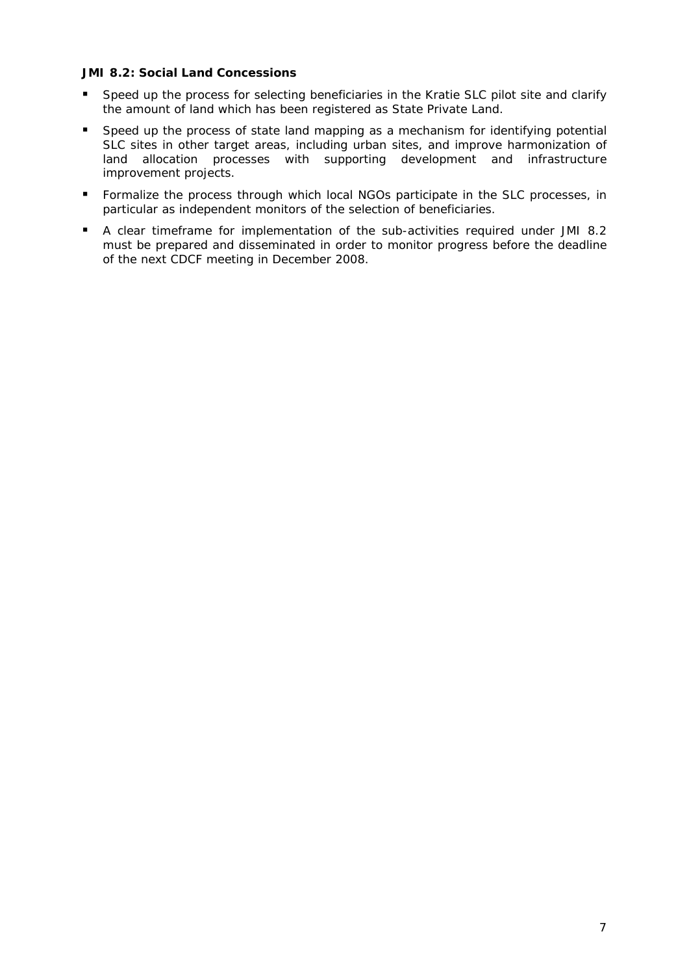## *JMI 8.2: Social Land Concessions*

- Speed up the process for selecting beneficiaries in the Kratie SLC pilot site and clarify the amount of land which has been registered as State Private Land.
- Speed up the process of state land mapping as a mechanism for identifying potential SLC sites in other target areas, including urban sites, and improve harmonization of land allocation processes with supporting development and infrastructure improvement projects.
- Formalize the process through which local NGOs participate in the SLC processes, in particular as independent monitors of the selection of beneficiaries.
- A clear timeframe for implementation of the sub-activities required under JMI 8.2 must be prepared and disseminated in order to monitor progress before the deadline of the next CDCF meeting in December 2008.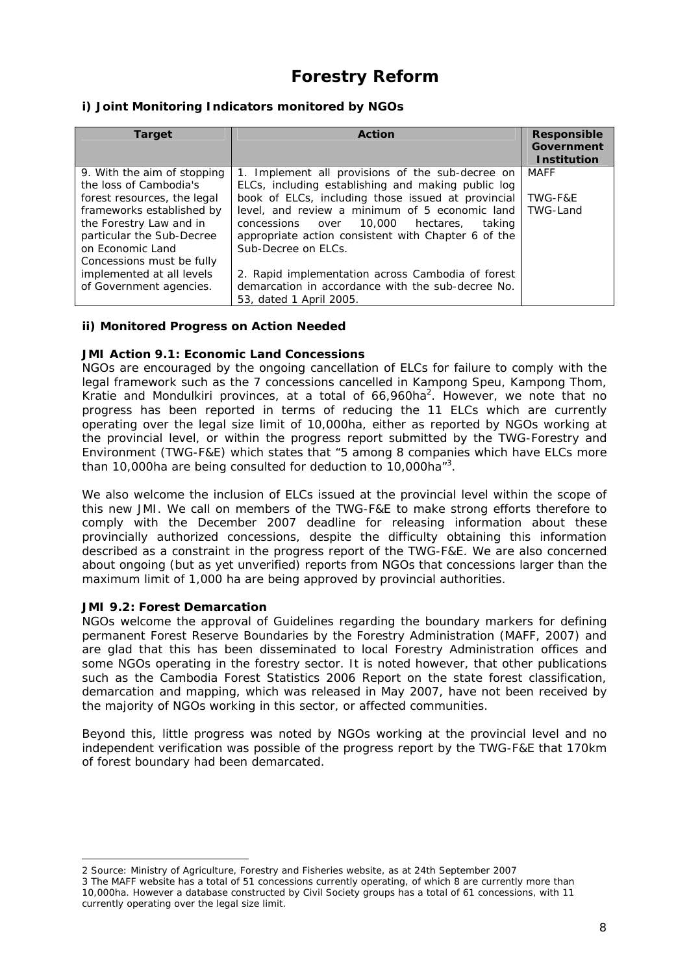## **Forestry Reform**

## **i) Joint Monitoring Indicators monitored by NGOs**

| <b>Target</b>               | <b>Action</b>                                       | <b>Responsible</b><br>Government<br><b>Institution</b> |
|-----------------------------|-----------------------------------------------------|--------------------------------------------------------|
| 9. With the aim of stopping | 1. Implement all provisions of the sub-decree on    | <b>MAFF</b>                                            |
| the loss of Cambodia's      | ELCs, including establishing and making public log  |                                                        |
| forest resources, the legal | book of ELCs, including those issued at provincial  | TWG-F&E                                                |
| frameworks established by   | level, and review a minimum of 5 economic land      | TWG-Land                                               |
| the Forestry Law and in     | concessions over 10,000 hectares.<br>taking         |                                                        |
| particular the Sub-Decree   | appropriate action consistent with Chapter 6 of the |                                                        |
| on Economic Land            | Sub-Decree on ELCs.                                 |                                                        |
| Concessions must be fully   |                                                     |                                                        |
| implemented at all levels   | 2. Rapid implementation across Cambodia of forest   |                                                        |
| of Government agencies.     | demarcation in accordance with the sub-decree No.   |                                                        |
|                             | 53, dated 1 April 2005.                             |                                                        |

### **ii) Monitored Progress on Action Needed**

### *JMI Action 9.1: Economic Land Concessions*

NGOs are encouraged by the ongoing cancellation of ELCs for failure to comply with the legal framework such as the 7 concessions cancelled in Kampong Speu, Kampong Thom, Kratie and Mondulkiri provinces, at a total of 66,960ha<sup>2</sup>. However, we note that no progress has been reported in terms of reducing the 11 ELCs which are currently operating over the legal size limit of 10,000ha, either as reported by NGOs working at the provincial level, or within the progress report submitted by the TWG-Forestry and Environment (TWG-F&E) which states that "5 among 8 companies which have ELCs more than 10,000ha are being consulted for deduction to 10,000ha<sup>"3</sup>.

We also welcome the inclusion of ELCs issued at the provincial level within the scope of this new JMI. We call on members of the TWG-F&E to make strong efforts therefore to comply with the December 2007 deadline for releasing information about these provincially authorized concessions, despite the difficulty obtaining this information described as a constraint in the progress report of the TWG-F&E. We are also concerned about ongoing (but as yet unverified) reports from NGOs that concessions larger than the maximum limit of 1,000 ha are being approved by provincial authorities.

### *JMI 9.2: Forest Demarcation*

-

NGOs welcome the approval of Guidelines regarding the boundary markers for defining permanent Forest Reserve Boundaries by the Forestry Administration (MAFF, 2007) and are glad that this has been disseminated to local Forestry Administration offices and some NGOs operating in the forestry sector. It is noted however, that other publications such as the Cambodia Forest Statistics 2006 Report on the state forest classification, demarcation and mapping, which was released in May 2007, have not been received by the majority of NGOs working in this sector, or affected communities.

Beyond this, little progress was noted by NGOs working at the provincial level and no independent verification was possible of the progress report by the TWG-F&E that 170km of forest boundary had been demarcated.

<sup>2</sup> Source: Ministry of Agriculture, Forestry and Fisheries website, as at 24th September 2007

<sup>3</sup> The MAFF website has a total of 51 concessions currently operating, of which 8 are currently more than 10,000ha. However a database constructed by Civil Society groups has a total of 61 concessions, with 11 currently operating over the legal size limit.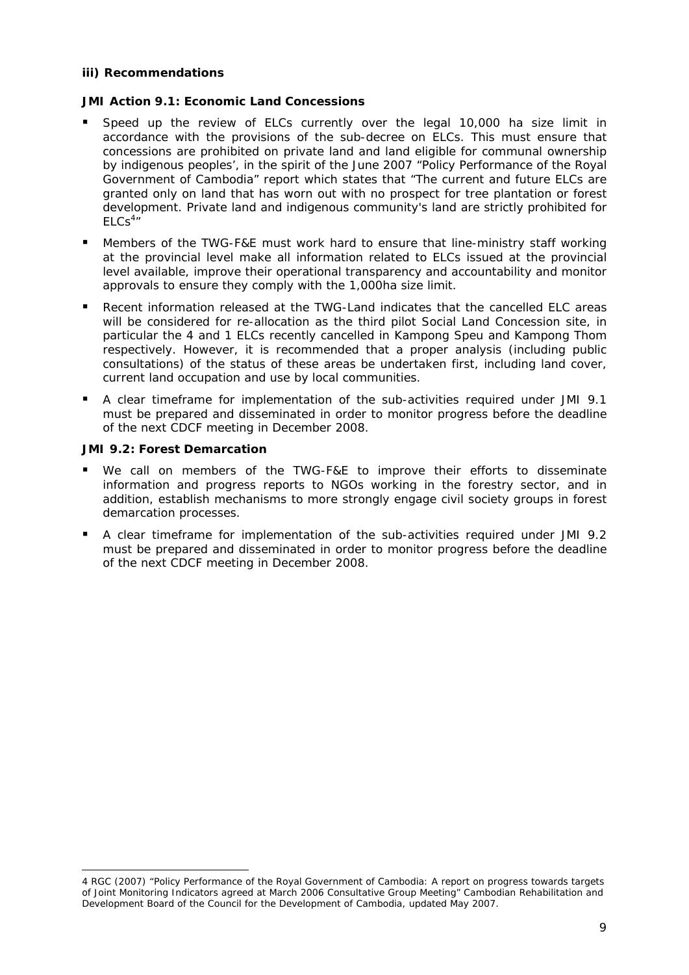### **iii) Recommendations**

## *JMI Action 9.1: Economic Land Concessions*

- Speed up the review of ELCs currently over the legal 10,000 ha size limit in accordance with the provisions of the sub-decree on ELCs. This must ensure that concessions are prohibited on private land and land eligible for communal ownership by indigenous peoples', in the spirit of the June 2007 "Policy Performance of the Royal Government of Cambodia" report which states that "The current and future ELCs are granted only on land that has worn out with no prospect for tree plantation or forest development. Private land and indigenous community's land are strictly prohibited for  $ELCs<sup>4</sup>$
- Members of the TWG-F&E must work hard to ensure that line-ministry staff working at the provincial level make all information related to ELCs issued at the provincial level available, improve their operational transparency and accountability and monitor approvals to ensure they comply with the 1,000ha size limit.
- Recent information released at the TWG-Land indicates that the cancelled ELC areas will be considered for re-allocation as the third pilot Social Land Concession site, in particular the 4 and 1 ELCs recently cancelled in Kampong Speu and Kampong Thom respectively. However, it is recommended that a proper analysis (including public consultations) of the status of these areas be undertaken first, including land cover, current land occupation and use by local communities.
- A clear timeframe for implementation of the sub-activities required under JMI 9.1 must be prepared and disseminated in order to monitor progress before the deadline of the next CDCF meeting in December 2008.

## *JMI 9.2: Forest Demarcation*

-

- We call on members of the TWG-F&E to improve their efforts to disseminate information and progress reports to NGOs working in the forestry sector, and in addition, establish mechanisms to more strongly engage civil society groups in forest demarcation processes.
- A clear timeframe for implementation of the sub-activities required under JMI 9.2 must be prepared and disseminated in order to monitor progress before the deadline of the next CDCF meeting in December 2008.

<sup>4</sup> RGC (2007) "Policy Performance of the Royal Government of Cambodia: A report on progress towards targets of Joint Monitoring Indicators agreed at March 2006 Consultative Group Meeting" Cambodian Rehabilitation and Development Board of the Council for the Development of Cambodia, updated May 2007.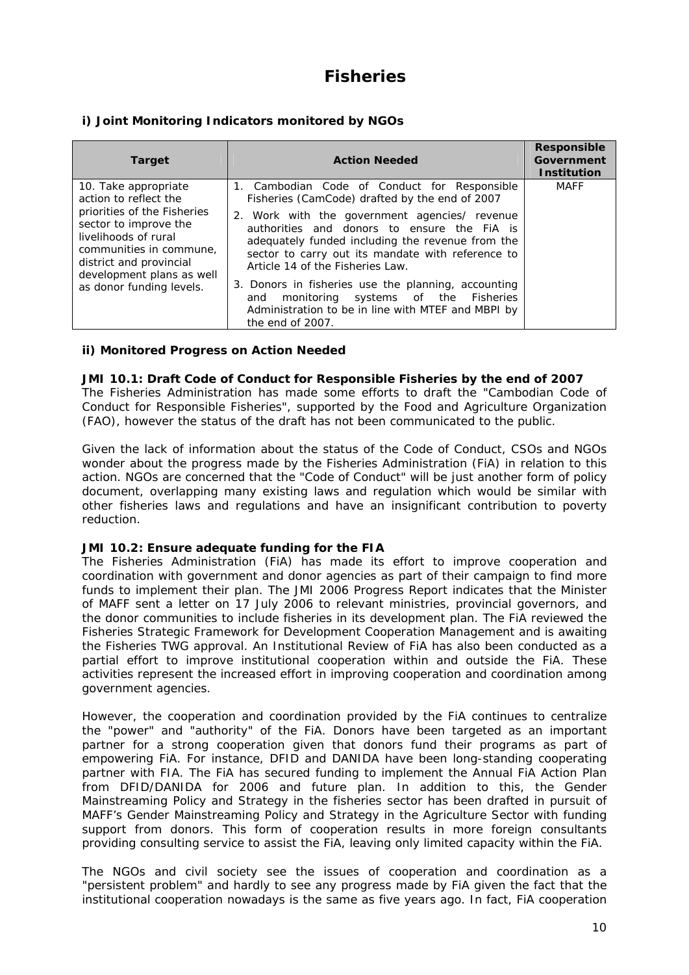## **Fisheries**

## **i) Joint Monitoring Indicators monitored by NGOs**

| <b>Target</b>                                                                                                                                                                                                                                | <b>Action Needed</b>                                                                                                                                                                                                                                                                                                                                                                                                                                                                                                       | <b>Responsible</b><br>Government<br><b>Institution</b> |
|----------------------------------------------------------------------------------------------------------------------------------------------------------------------------------------------------------------------------------------------|----------------------------------------------------------------------------------------------------------------------------------------------------------------------------------------------------------------------------------------------------------------------------------------------------------------------------------------------------------------------------------------------------------------------------------------------------------------------------------------------------------------------------|--------------------------------------------------------|
| 10. Take appropriate<br>action to reflect the<br>priorities of the Fisheries<br>sector to improve the<br>livelihoods of rural<br>communities in commune.<br>district and provincial<br>development plans as well<br>as donor funding levels. | 1. Cambodian Code of Conduct for Responsible<br>Fisheries (CamCode) drafted by the end of 2007<br>2. Work with the government agencies/ revenue<br>authorities and donors to ensure the FIA is<br>adequately funded including the revenue from the<br>sector to carry out its mandate with reference to<br>Article 14 of the Fisheries Law.<br>3. Donors in fisheries use the planning, accounting<br>monitoring systems of the Fisheries<br>and<br>Administration to be in line with MTEF and MBPI by<br>the end of 2007. | <b>MAFF</b>                                            |

### **ii) Monitored Progress on Action Needed**

#### *JMI 10.1: Draft Code of Conduct for Responsible Fisheries by the end of 2007*

The Fisheries Administration has made some efforts to draft the "Cambodian Code of Conduct for Responsible Fisheries", supported by the Food and Agriculture Organization (FAO), however the status of the draft has not been communicated to the public.

Given the lack of information about the status of the Code of Conduct, CSOs and NGOs wonder about the progress made by the Fisheries Administration (FiA) in relation to this action. NGOs are concerned that the "Code of Conduct" will be just another form of policy document, overlapping many existing laws and regulation which would be similar with other fisheries laws and regulations and have an insignificant contribution to poverty reduction.

### *JMI 10.2: Ensure adequate funding for the FIA*

The Fisheries Administration (FiA) has made its effort to improve cooperation and coordination with government and donor agencies as part of their campaign to find more funds to implement their plan. The JMI 2006 Progress Report indicates that the Minister of MAFF sent a letter on 17 July 2006 to relevant ministries, provincial governors, and the donor communities to include fisheries in its development plan. The FiA reviewed the Fisheries Strategic Framework for Development Cooperation Management and is awaiting the Fisheries TWG approval. An Institutional Review of FiA has also been conducted as a partial effort to improve institutional cooperation within and outside the FiA. These activities represent the increased effort in improving cooperation and coordination among government agencies.

However, the cooperation and coordination provided by the FiA continues to centralize the "power" and "authority" of the FiA. Donors have been targeted as an important partner for a strong cooperation given that donors fund their programs as part of empowering FiA. For instance, DFID and DANIDA have been long-standing cooperating partner with FIA. The FiA has secured funding to implement the Annual FiA Action Plan from DFID/DANIDA for 2006 and future plan. In addition to this, the Gender Mainstreaming Policy and Strategy in the fisheries sector has been drafted in pursuit of MAFF's Gender Mainstreaming Policy and Strategy in the Agriculture Sector with funding support from donors. This form of cooperation results in more foreign consultants providing consulting service to assist the FiA, leaving only limited capacity within the FiA.

The NGOs and civil society see the issues of cooperation and coordination as a "persistent problem" and hardly to see any progress made by FiA given the fact that the institutional cooperation nowadays is the same as five years ago. In fact, FiA cooperation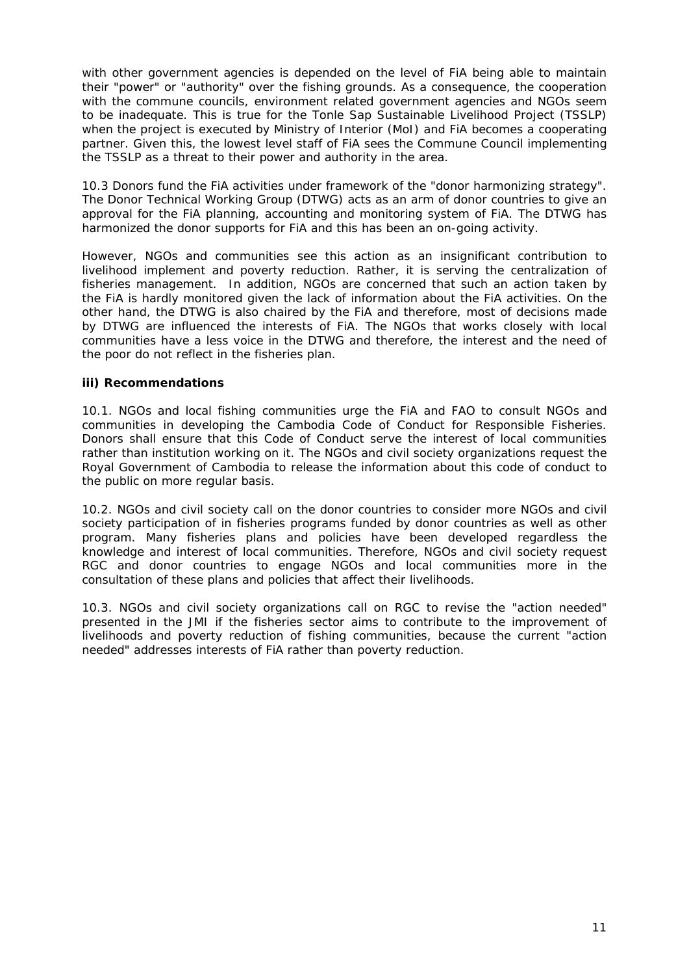with other government agencies is depended on the level of FiA being able to maintain their "power" or "authority" over the fishing grounds. As a consequence, the cooperation with the commune councils, environment related government agencies and NGOs seem to be inadequate. This is true for the Tonle Sap Sustainable Livelihood Project (TSSLP) when the project is executed by Ministry of Interior (MoI) and FiA becomes a cooperating partner. Given this, the lowest level staff of FiA sees the Commune Council implementing the TSSLP as a threat to their power and authority in the area.

10.3 Donors fund the FiA activities under framework of the "donor harmonizing strategy". The Donor Technical Working Group (DTWG) acts as an arm of donor countries to give an approval for the FiA planning, accounting and monitoring system of FiA. The DTWG has harmonized the donor supports for FiA and this has been an on-going activity.

However, NGOs and communities see this action as an insignificant contribution to livelihood implement and poverty reduction. Rather, it is serving the centralization of fisheries management. In addition, NGOs are concerned that such an action taken by the FiA is hardly monitored given the lack of information about the FiA activities. On the other hand, the DTWG is also chaired by the FiA and therefore, most of decisions made by DTWG are influenced the interests of FiA. The NGOs that works closely with local communities have a less voice in the DTWG and therefore, the interest and the need of the poor do not reflect in the fisheries plan.

## **iii) Recommendations**

10.1. NGOs and local fishing communities urge the FiA and FAO to consult NGOs and communities in developing the Cambodia Code of Conduct for Responsible Fisheries. Donors shall ensure that this Code of Conduct serve the interest of local communities rather than institution working on it. The NGOs and civil society organizations request the Royal Government of Cambodia to release the information about this code of conduct to the public on more regular basis.

10.2. NGOs and civil society call on the donor countries to consider more NGOs and civil society participation of in fisheries programs funded by donor countries as well as other program. Many fisheries plans and policies have been developed regardless the knowledge and interest of local communities. Therefore, NGOs and civil society request RGC and donor countries to engage NGOs and local communities more in the consultation of these plans and policies that affect their livelihoods.

10.3. NGOs and civil society organizations call on RGC to revise the "action needed" presented in the JMI if the fisheries sector aims to contribute to the improvement of livelihoods and poverty reduction of fishing communities, because the current "action needed" addresses interests of FiA rather than poverty reduction.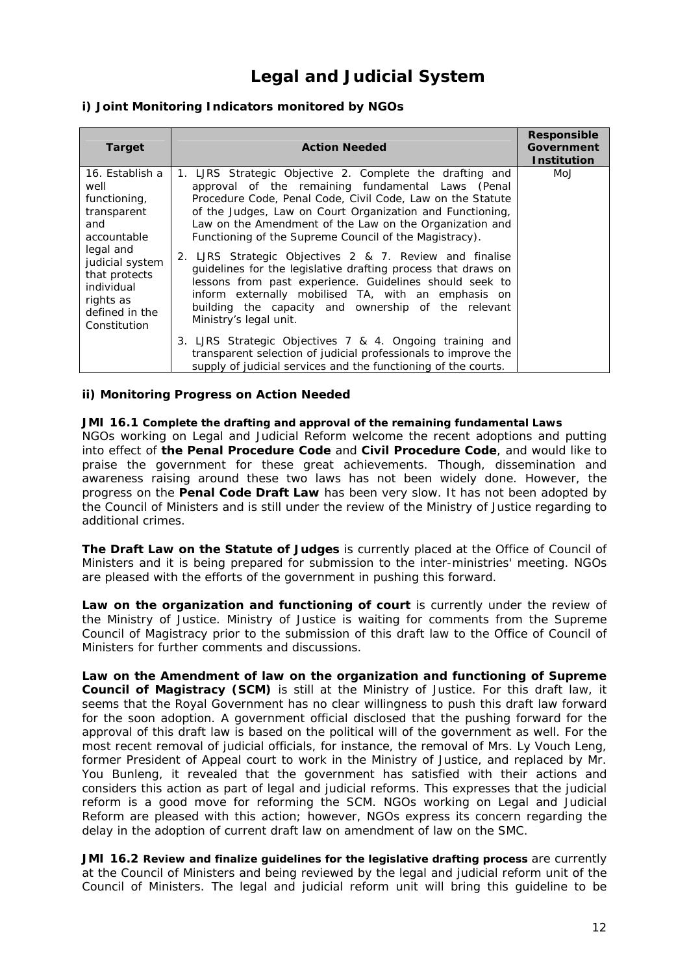## **Legal and Judicial System**

## **i) Joint Monitoring Indicators monitored by NGOs**

| <b>Target</b>                                                                                                                                                                              | <b>Action Needed</b>                                                                                                                                                                                                                                                                                                                                                                                                                                                                                                                                                                                                                                                                         | Responsible<br>Government<br><b>Institution</b> |
|--------------------------------------------------------------------------------------------------------------------------------------------------------------------------------------------|----------------------------------------------------------------------------------------------------------------------------------------------------------------------------------------------------------------------------------------------------------------------------------------------------------------------------------------------------------------------------------------------------------------------------------------------------------------------------------------------------------------------------------------------------------------------------------------------------------------------------------------------------------------------------------------------|-------------------------------------------------|
| 16. Establish a<br>well<br>functioning,<br>transparent<br>and<br>accountable<br>legal and<br>judicial system<br>that protects<br>individual<br>rights as<br>defined in the<br>Constitution | 1. LJRS Strategic Objective 2. Complete the drafting and<br>approval of the remaining fundamental Laws (Penal<br>Procedure Code, Penal Code, Civil Code, Law on the Statute<br>of the Judges, Law on Court Organization and Functioning,<br>Law on the Amendment of the Law on the Organization and<br>Functioning of the Supreme Council of the Magistracy).<br>2. LJRS Strategic Objectives 2 & 7. Review and finalise<br>guidelines for the legislative drafting process that draws on<br>lessons from past experience. Guidelines should seek to<br>inform externally mobilised TA, with an emphasis on<br>building the capacity and ownership of the relevant<br>Ministry's legal unit. | MoJ                                             |
|                                                                                                                                                                                            | 3. LJRS Strategic Objectives 7 & 4. Ongoing training and<br>transparent selection of judicial professionals to improve the<br>supply of judicial services and the functioning of the courts.                                                                                                                                                                                                                                                                                                                                                                                                                                                                                                 |                                                 |

### **ii) Monitoring Progress on Action Needed**

#### *JMI 16.1 Complete the drafting and approval of the remaining fundamental Laws*

NGOs working on Legal and Judicial Reform welcome the recent adoptions and putting into effect of **the Penal Procedure Code** and **Civil Procedure Code**, and would like to praise the government for these great achievements. Though, dissemination and awareness raising around these two laws has not been widely done. However, the progress on the **Penal Code Draft Law** has been very slow. It has not been adopted by the Council of Ministers and is still under the review of the Ministry of Justice regarding to additional crimes.

**The Draft Law on the Statute of Judges** is currently placed at the Office of Council of Ministers and it is being prepared for submission to the inter-ministries' meeting. NGOs are pleased with the efforts of the government in pushing this forward.

**Law on the organization and functioning of court** is currently under the review of the Ministry of Justice. Ministry of Justice is waiting for comments from the Supreme Council of Magistracy prior to the submission of this draft law to the Office of Council of Ministers for further comments and discussions.

**Law on the Amendment of law on the organization and functioning of Supreme Council of Magistracy (SCM)** is still at the Ministry of Justice. For this draft law, it seems that the Royal Government has no clear willingness to push this draft law forward for the soon adoption. A government official disclosed that the pushing forward for the approval of this draft law is based on the political will of the government as well. For the most recent removal of judicial officials, for instance, the removal of Mrs. Ly Vouch Leng, former President of Appeal court to work in the Ministry of Justice, and replaced by Mr. You Bunleng, it revealed that the government has satisfied with their actions and considers this action as part of legal and judicial reforms. This expresses that the judicial reform is a good move for reforming the SCM. NGOs working on Legal and Judicial Reform are pleased with this action; however, NGOs express its concern regarding the delay in the adoption of current draft law on amendment of law on the SMC.

*JMI 16.2 Review and finalize guidelines for the legislative drafting process are currently* at the Council of Ministers and being reviewed by the legal and judicial reform unit of the Council of Ministers. The legal and judicial reform unit will bring this guideline to be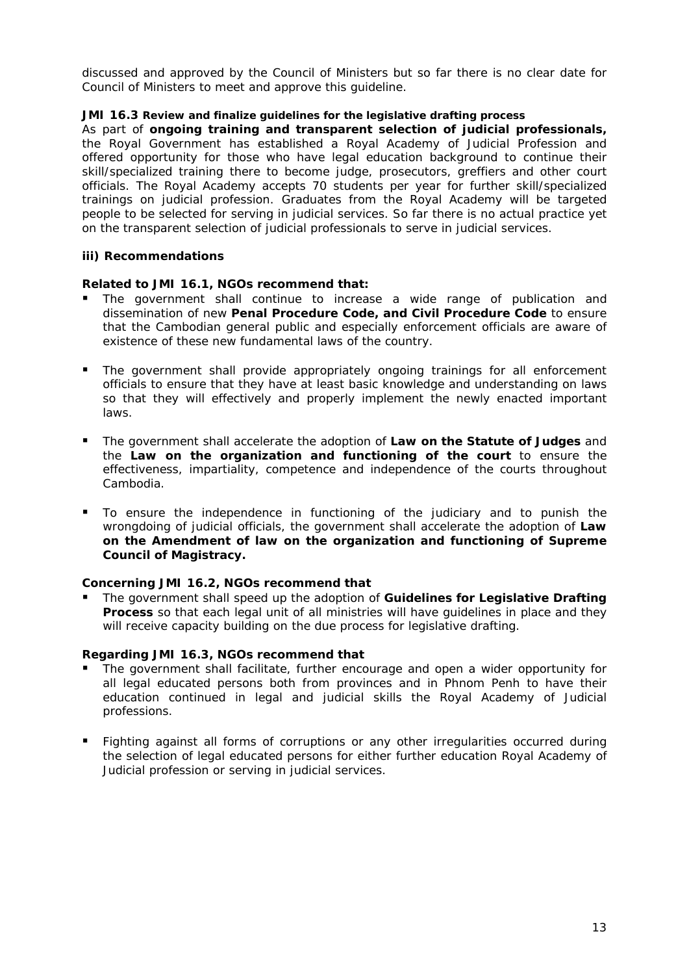discussed and approved by the Council of Ministers but so far there is no clear date for Council of Ministers to meet and approve this guideline.

### *JMI 16.3 Review and finalize guidelines for the legislative drafting process*

As part of **ongoing training and transparent selection of judicial professionals,**  the Royal Government has established a Royal Academy of Judicial Profession and offered opportunity for those who have legal education background to continue their skill/specialized training there to become judge, prosecutors, greffiers and other court officials. The Royal Academy accepts 70 students per year for further skill/specialized trainings on judicial profession. Graduates from the Royal Academy will be targeted people to be selected for serving in judicial services. So far there is no actual practice yet on the transparent selection of judicial professionals to serve in judicial services.

## **iii) Recommendations**

## *Related to JMI 16.1, NGOs recommend that:*

- The government shall continue to increase a wide range of publication and dissemination of new *Penal Procedure Code, and Civil Procedure Code* to ensure that the Cambodian general public and especially enforcement officials are aware of existence of these new fundamental laws of the country.
- The government shall provide appropriately ongoing trainings for all enforcement officials to ensure that they have at least basic knowledge and understanding on laws so that they will effectively and properly implement the newly enacted important laws.
- The government shall accelerate the adoption of *Law on the Statute of Judges and the Law on the organization and functioning of the court* to ensure the effectiveness, impartiality, competence and independence of the courts throughout Cambodia.
- To ensure the independence in functioning of the judiciary and to punish the wrongdoing of judicial officials, the government shall accelerate the adoption of *Law on the Amendment of law on the organization and functioning of Supreme Council of Magistracy***.**

## *Concerning JMI 16.2, NGOs recommend that*

 The government shall speed up the adoption of *Guidelines for Legislative Drafting*  **Process** so that each legal unit of all ministries will have guidelines in place and they will receive capacity building on the due process for legislative drafting.

### *Regarding JMI 16.3, NGOs recommend that*

- The government shall facilitate, further encourage and open a wider opportunity for all legal educated persons both from provinces and in Phnom Penh to have their education continued in legal and judicial skills the Royal Academy of Judicial professions.
- Fighting against all forms of corruptions or any other irregularities occurred during the selection of legal educated persons for either further education Royal Academy of Judicial profession or serving in judicial services.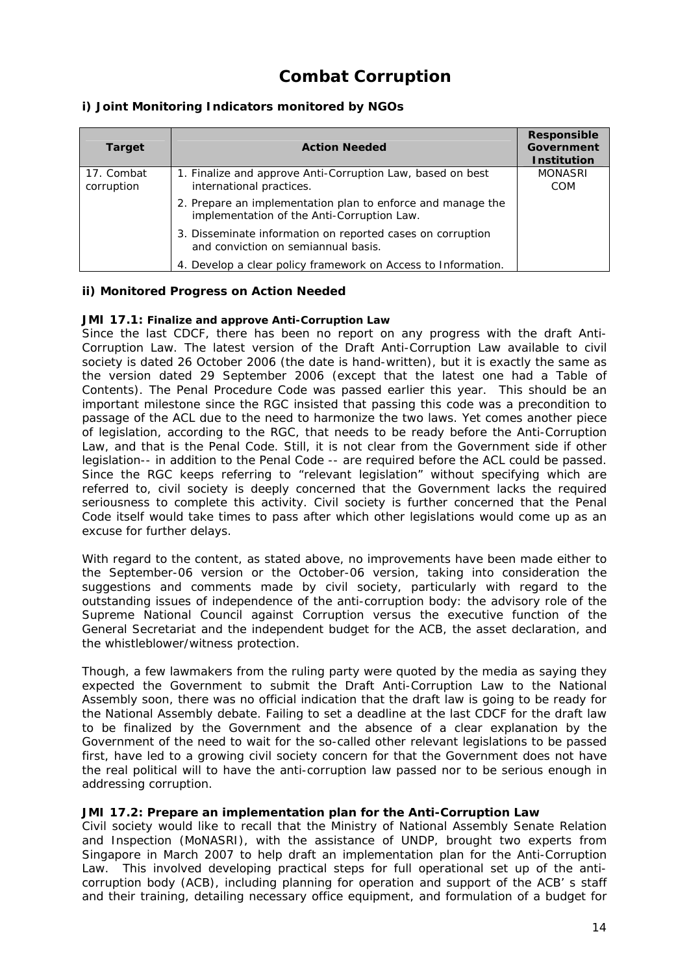## **Combat Corruption**

## **i) Joint Monitoring Indicators monitored by NGOs**

| <b>Target</b>            | <b>Action Needed</b>                                                                                      | Responsible<br>Government<br><b>Institution</b> |
|--------------------------|-----------------------------------------------------------------------------------------------------------|-------------------------------------------------|
| 17. Combat<br>corruption | 1. Finalize and approve Anti-Corruption Law, based on best<br>international practices.                    | <b>MONASRI</b><br><b>COM</b>                    |
|                          | 2. Prepare an implementation plan to enforce and manage the<br>implementation of the Anti-Corruption Law. |                                                 |
|                          | 3. Disseminate information on reported cases on corruption<br>and conviction on semiannual basis.         |                                                 |
|                          | 4. Develop a clear policy framework on Access to Information.                                             |                                                 |

## **ii) Monitored Progress on Action Needed**

### *JMI 17.1: Finalize and approve Anti-Corruption Law*

Since the last CDCF, there has been no report on any progress with the draft Anti-Corruption Law. The latest version of the Draft Anti-Corruption Law available to civil society is dated 26 October 2006 (the date is hand-written), but it is exactly the same as the version dated 29 September 2006 (except that the latest one had a Table of Contents). The Penal Procedure Code was passed earlier this year. This should be an important milestone since the RGC insisted that passing this code was a precondition to passage of the ACL due to the need to harmonize the two laws. Yet comes another piece of legislation, according to the RGC, that needs to be ready before the Anti-Corruption Law, and that is the Penal Code. Still, it is not clear from the Government side if other legislation-- in addition to the Penal Code -- are required before the ACL could be passed. Since the RGC keeps referring to "relevant legislation" without specifying which are referred to, civil society is deeply concerned that the Government lacks the required seriousness to complete this activity. Civil society is further concerned that the Penal Code itself would take times to pass after which other legislations would come up as an excuse for further delays.

With regard to the content, as stated above, no improvements have been made either to the September-06 version or the October-06 version, taking into consideration the suggestions and comments made by civil society, particularly with regard to the outstanding issues of independence of the anti-corruption body: the advisory role of the Supreme National Council against Corruption versus the executive function of the General Secretariat and the independent budget for the ACB, the asset declaration, and the whistleblower/witness protection.

Though, a few lawmakers from the ruling party were quoted by the media as saying they expected the Government to submit the Draft Anti-Corruption Law to the National Assembly soon, there was no official indication that the draft law is going to be ready for the National Assembly debate. Failing to set a deadline at the last CDCF for the draft law to be finalized by the Government and the absence of a clear explanation by the Government of the need to wait for the so-called other relevant legislations to be passed first, have led to a growing civil society concern for that the Government does not have the real political will to have the anti-corruption law passed nor to be serious enough in addressing corruption.

### *JMI 17.2: Prepare an implementation plan for the Anti-Corruption Law*

Civil society would like to recall that the Ministry of National Assembly Senate Relation and Inspection (MoNASRI), with the assistance of UNDP, brought two experts from Singapore in March 2007 to help draft an implementation plan for the Anti-Corruption Law. This involved developing practical steps for full operational set up of the anticorruption body (ACB), including planning for operation and support of the ACB' s staff and their training, detailing necessary office equipment, and formulation of a budget for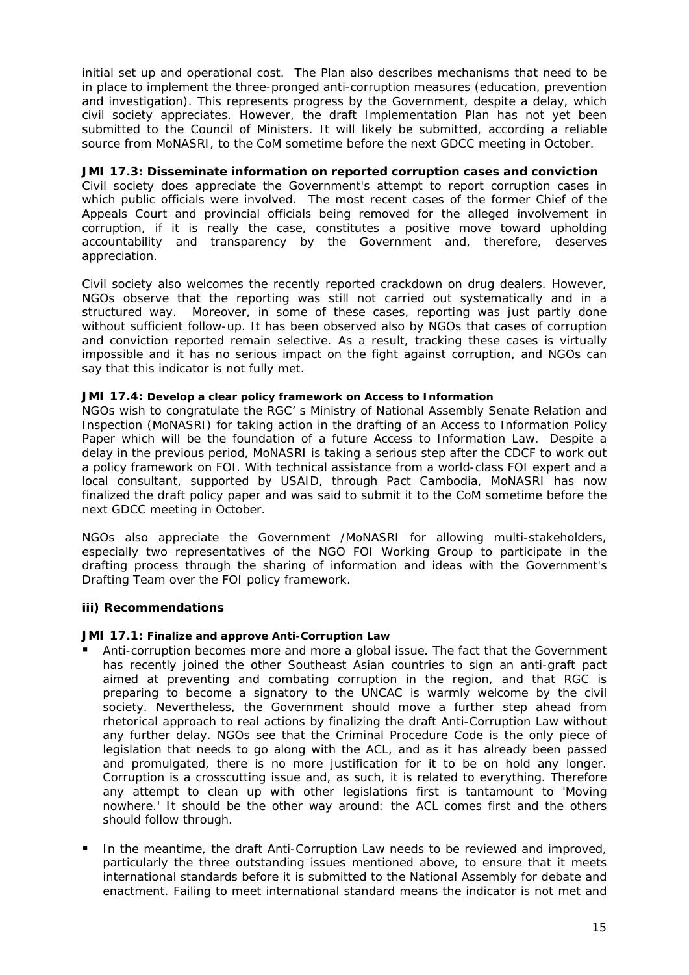initial set up and operational cost. The Plan also describes mechanisms that need to be in place to implement the three-pronged anti-corruption measures (education, prevention and investigation). This represents progress by the Government, despite a delay, which civil society appreciates. However, the draft Implementation Plan has not yet been submitted to the Council of Ministers. It will likely be submitted, according a reliable source from MoNASRI, to the CoM sometime before the next GDCC meeting in October.

## *JMI 17.3: Disseminate information on reported corruption cases and conviction*

Civil society does appreciate the Government's attempt to report corruption cases in which public officials were involved. The most recent cases of the former Chief of the Appeals Court and provincial officials being removed for the alleged involvement in corruption, if it is really the case, constitutes a positive move toward upholding accountability and transparency by the Government and, therefore, deserves appreciation.

Civil society also welcomes the recently reported crackdown on drug dealers. However, NGOs observe that the reporting was still not carried out systematically and in a structured way. Moreover, in some of these cases, reporting was just partly done without sufficient follow-up. It has been observed also by NGOs that cases of corruption and conviction reported remain selective. As a result, tracking these cases is virtually impossible and it has no serious impact on the fight against corruption, and NGOs can say that this indicator is not fully met.

### *JMI 17.4: Develop a clear policy framework on Access to Information*

NGOs wish to congratulate the RGC' s Ministry of National Assembly Senate Relation and Inspection (MoNASRI) for taking action in the drafting of an Access to Information Policy Paper which will be the foundation of a future Access to Information Law. Despite a delay in the previous period, MoNASRI is taking a serious step after the CDCF to work out a policy framework on FOI. With technical assistance from a world-class FOI expert and a local consultant, supported by USAID, through Pact Cambodia, MoNASRI has now finalized the draft policy paper and was said to submit it to the CoM sometime before the next GDCC meeting in October.

NGOs also appreciate the Government /MoNASRI for allowing multi-stakeholders, especially two representatives of the NGO FOI Working Group to participate in the drafting process through the sharing of information and ideas with the Government's Drafting Team over the FOI policy framework.

### **iii) Recommendations**

### *JMI 17.1: Finalize and approve Anti-Corruption Law*

- Anti-corruption becomes more and more a global issue. The fact that the Government has recently joined the other Southeast Asian countries to sign an anti-graft pact aimed at preventing and combating corruption in the region, and that RGC is preparing to become a signatory to the UNCAC is warmly welcome by the civil society. Nevertheless, the Government should move a further step ahead from rhetorical approach to real actions by finalizing the draft Anti-Corruption Law without any further delay. NGOs see that the Criminal Procedure Code is the only piece of legislation that needs to go along with the ACL, and as it has already been passed and promulgated, there is no more justification for it to be on hold any longer. Corruption is a crosscutting issue and, as such, it is related to everything. Therefore any attempt to clean up with other legislations first is tantamount to 'Moving nowhere.' It should be the other way around: the ACL comes first and the others should follow through.
- In the meantime, the draft Anti-Corruption Law needs to be reviewed and improved, particularly the three outstanding issues mentioned above, to ensure that it meets international standards before it is submitted to the National Assembly for debate and enactment. Failing to meet international standard means the indicator is not met and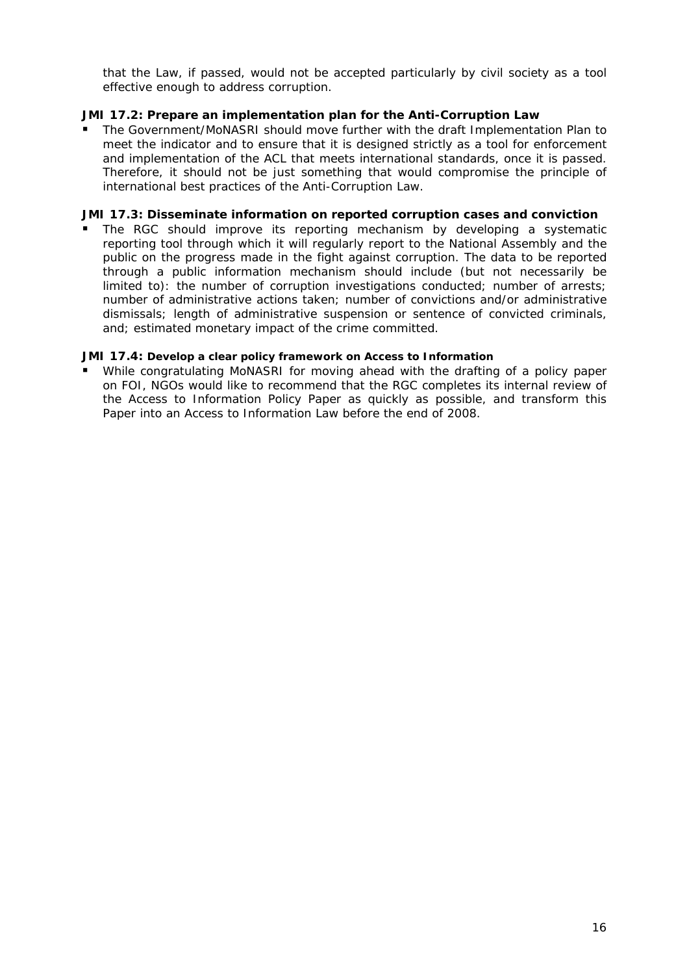that the Law, if passed, would not be accepted particularly by civil society as a tool effective enough to address corruption.

## *JMI 17.2: Prepare an implementation plan for the Anti-Corruption Law*

 The Government/MoNASRI should move further with the draft Implementation Plan to meet the indicator and to ensure that it is designed strictly as a tool for enforcement and implementation of the ACL that meets international standards, once it is passed. Therefore, it should not be just something that would compromise the principle of international best practices of the Anti-Corruption Law.

## *JMI 17.3: Disseminate information on reported corruption cases and conviction*

 The RGC should improve its reporting mechanism by developing a systematic reporting tool through which it will regularly report to the National Assembly and the public on the progress made in the fight against corruption. The data to be reported through a public information mechanism should include (but not necessarily be limited to): the number of corruption investigations conducted; number of arrests; number of administrative actions taken; number of convictions and/or administrative dismissals; length of administrative suspension or sentence of convicted criminals, and; estimated monetary impact of the crime committed.

### *JMI 17.4: Develop a clear policy framework on Access to Information*

 While congratulating MoNASRI for moving ahead with the drafting of a policy paper on FOI, NGOs would like to recommend that the RGC completes its internal review of the Access to Information Policy Paper as quickly as possible, and transform this Paper into an Access to Information Law before the end of 2008.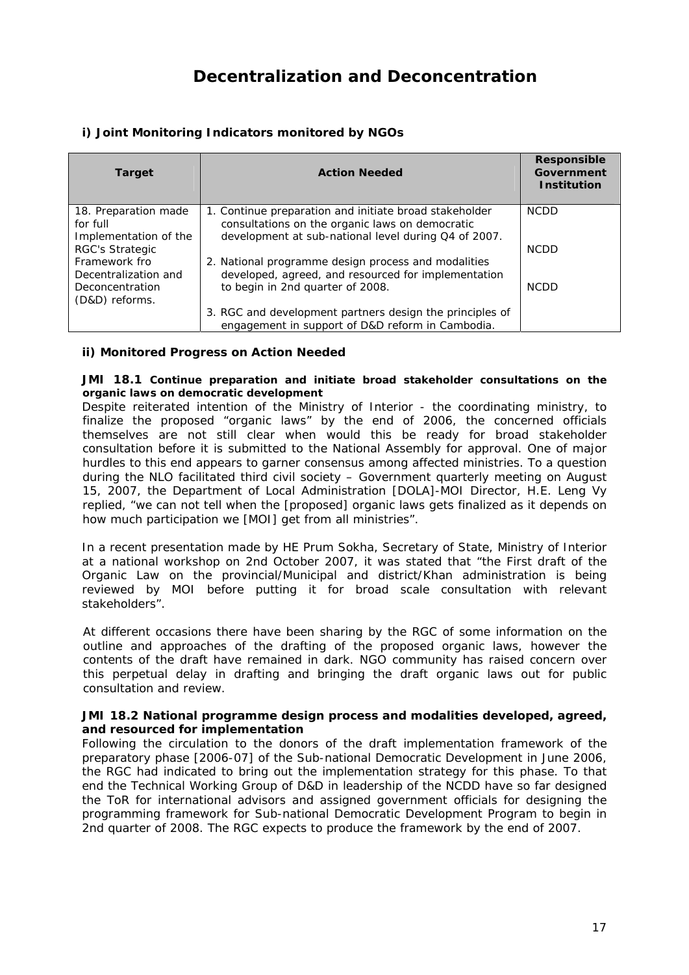## **Decentralization and Deconcentration**

| <b>Target</b>                                             | <b>Action Needed</b>                                                                                                                                              | Responsible<br>Government<br><b>Institution</b> |
|-----------------------------------------------------------|-------------------------------------------------------------------------------------------------------------------------------------------------------------------|-------------------------------------------------|
| 18. Preparation made<br>for full<br>Implementation of the | 1. Continue preparation and initiate broad stakeholder<br>consultations on the organic laws on democratic<br>development at sub-national level during Q4 of 2007. | <b>NCDD</b>                                     |
| <b>RGC's Strategic</b>                                    |                                                                                                                                                                   | <b>NCDD</b>                                     |
| Framework fro<br>Decentralization and                     | 2. National programme design process and modalities<br>developed, agreed, and resourced for implementation                                                        |                                                 |
| Deconcentration<br>(D&D) reforms.                         | to begin in 2nd quarter of 2008.                                                                                                                                  | <b>NCDD</b>                                     |
|                                                           | 3. RGC and development partners design the principles of<br>engagement in support of D&D reform in Cambodia.                                                      |                                                 |

## **i) Joint Monitoring Indicators monitored by NGOs**

## **ii) Monitored Progress on Action Needed**

#### *JMI 18.1 Continue preparation and initiate broad stakeholder consultations on the organic laws on democratic development*

Despite reiterated intention of the Ministry of Interior - the coordinating ministry, to finalize the proposed "organic laws" by the end of 2006, the concerned officials themselves are not still clear when would this be ready for broad stakeholder consultation before it is submitted to the National Assembly for approval. One of major hurdles to this end appears to garner consensus among affected ministries. To a question during the NLO facilitated third civil society – Government quarterly meeting on August 15, 2007, the Department of Local Administration [DOLA]-MOI Director, H.E. Leng Vy replied, "we can not tell when the [proposed] organic laws gets finalized as it depends on how much participation we [MOI] get from all ministries".

In a recent presentation made by HE Prum Sokha, Secretary of State, Ministry of Interior at a national workshop on 2nd October 2007, it was stated that "the First draft of the Organic Law on the provincial/Municipal and district/Khan administration is being reviewed by MOI before putting it for broad scale consultation with relevant stakeholders".

At different occasions there have been sharing by the RGC of some information on the outline and approaches of the drafting of the proposed organic laws, however the contents of the draft have remained in dark. NGO community has raised concern over this perpetual delay in drafting and bringing the draft organic laws out for public consultation and review.

#### *JMI 18.2 National programme design process and modalities developed, agreed, and resourced for implementation*

Following the circulation to the donors of the draft implementation framework of the preparatory phase [2006-07] of the Sub-national Democratic Development in June 2006, the RGC had indicated to bring out the implementation strategy for this phase. To that end the Technical Working Group of D&D in leadership of the NCDD have so far designed the ToR for international advisors and assigned government officials for designing the programming framework for Sub-national Democratic Development Program to begin in 2nd quarter of 2008. The RGC expects to produce the framework by the end of 2007.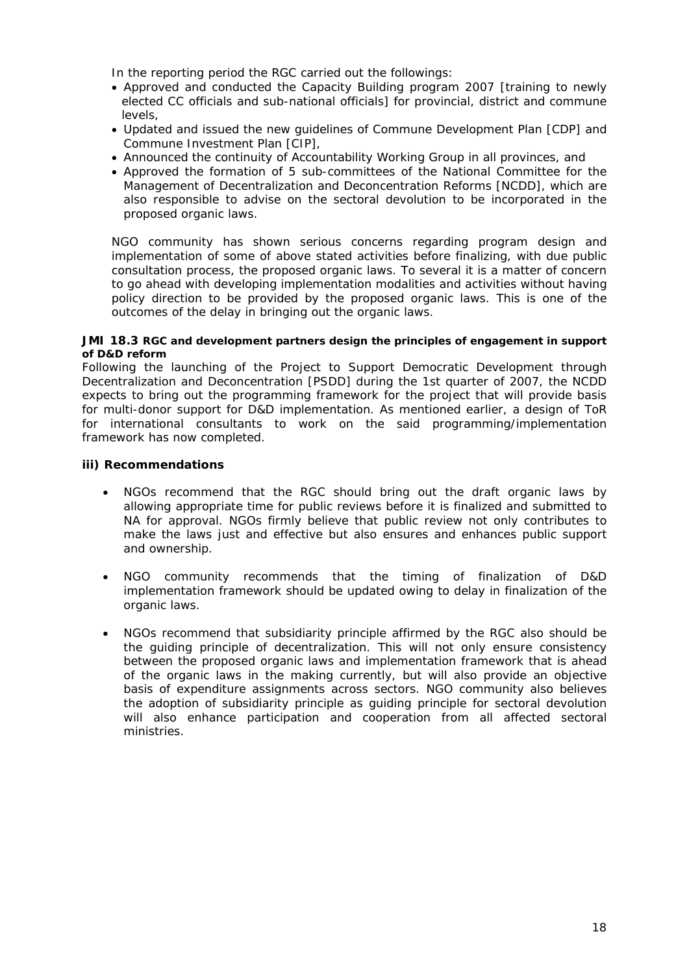In the reporting period the RGC carried out the followings:

- Approved and conducted the Capacity Building program 2007 [training to newly elected CC officials and sub-national officials] for provincial, district and commune levels,
- Updated and issued the new guidelines of Commune Development Plan [CDP] and Commune Investment Plan [CIP],
- Announced the continuity of Accountability Working Group in all provinces, and
- Approved the formation of 5 sub-committees of the National Committee for the Management of Decentralization and Deconcentration Reforms [NCDD], which are also responsible to advise on the sectoral devolution to be incorporated in the proposed organic laws.

NGO community has shown serious concerns regarding program design and implementation of some of above stated activities before finalizing, with due public consultation process, the proposed organic laws. To several it is a matter of concern to go ahead with developing implementation modalities and activities without having policy direction to be provided by the proposed organic laws. This is one of the outcomes of the delay in bringing out the organic laws.

#### *JMI 18.3 RGC and development partners design the principles of engagement in support of D&D reform*

Following the launching of the Project to Support Democratic Development through Decentralization and Deconcentration [PSDD] during the 1st quarter of 2007, the NCDD expects to bring out the programming framework for the project that will provide basis for multi-donor support for D&D implementation. As mentioned earlier, a design of ToR for international consultants to work on the said programming/implementation framework has now completed.

- NGOs recommend that the RGC should bring out the draft organic laws by allowing appropriate time for public reviews before it is finalized and submitted to NA for approval. NGOs firmly believe that public review not only contributes to make the laws just and effective but also ensures and enhances public support and ownership.
- NGO community recommends that the timing of finalization of D&D implementation framework should be updated owing to delay in finalization of the organic laws.
- NGOs recommend that subsidiarity principle affirmed by the RGC also should be the guiding principle of decentralization. This will not only ensure consistency between the proposed organic laws and implementation framework that is ahead of the organic laws in the making currently, but will also provide an objective basis of expenditure assignments across sectors. NGO community also believes the adoption of subsidiarity principle as guiding principle for sectoral devolution will also enhance participation and cooperation from all affected sectoral ministries.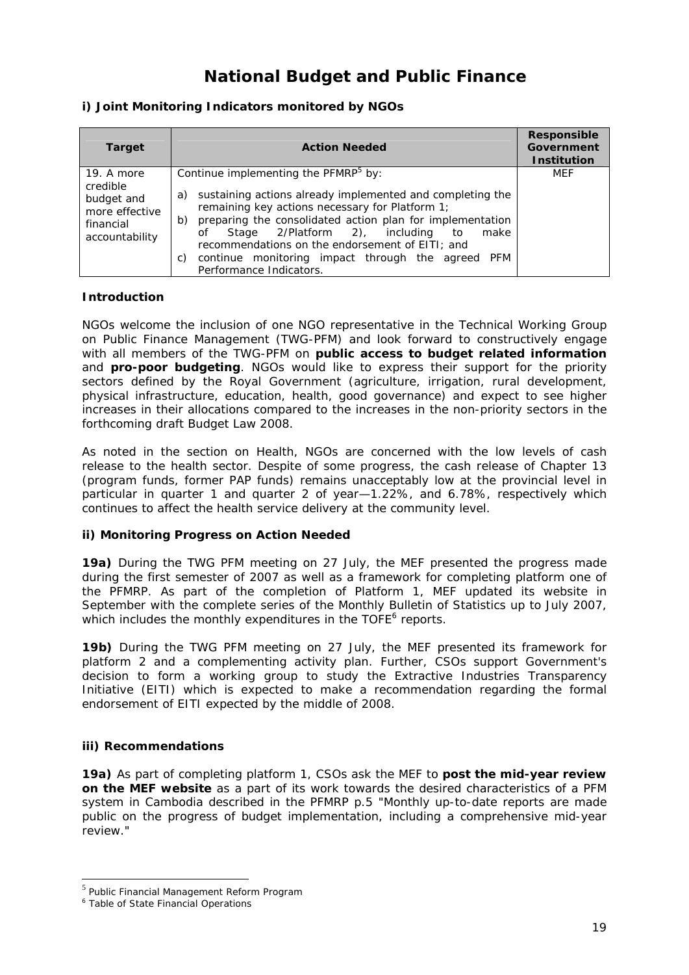## **National Budget and Public Finance**

## **i) Joint Monitoring Indicators monitored by NGOs**

| <b>Target</b>                                                                         | <b>Action Needed</b>                                                                                                                                                                                                                                                                                                                                                                                                                     | Responsible<br>Government<br><b>Institution</b> |
|---------------------------------------------------------------------------------------|------------------------------------------------------------------------------------------------------------------------------------------------------------------------------------------------------------------------------------------------------------------------------------------------------------------------------------------------------------------------------------------------------------------------------------------|-------------------------------------------------|
| 19. A more<br>credible<br>budget and<br>more effective<br>financial<br>accountability | Continue implementing the PFMRP <sup>5</sup> by:<br>sustaining actions already implemented and completing the<br>a)<br>remaining key actions necessary for Platform 1;<br>preparing the consolidated action plan for implementation<br>b)<br>Stage 2/Platform 2), including<br>make<br>to<br>οf<br>recommendations on the endorsement of EITI; and<br>continue monitoring impact through the agreed PFM<br>C)<br>Performance Indicators. | MEF                                             |

### **Introduction**

NGOs welcome the inclusion of one NGO representative in the Technical Working Group on Public Finance Management (TWG-PFM) and look forward to constructively engage with all members of the TWG-PFM on *public access to budget related information*  and *pro-poor budgeting*. NGOs would like to express their support for the priority sectors defined by the Royal Government (agriculture, irrigation, rural development, physical infrastructure, education, health, good governance) and expect to see higher increases in their allocations compared to the increases in the non-priority sectors in the forthcoming draft Budget Law 2008.

As noted in the section on Health, NGOs are concerned with the low levels of cash release to the health sector. Despite of some progress, the cash release of Chapter 13 (program funds, former PAP funds) remains unacceptably low at the provincial level in particular in quarter 1 and quarter 2 of year—1.22%, and 6.78%, respectively which continues to affect the health service delivery at the community level.

### **ii) Monitoring Progress on Action Needed**

**19a)** During the TWG PFM meeting on 27 July, the MEF presented the progress made during the first semester of 2007 as well as a framework for completing platform one of the PFMRP. As part of the completion of Platform 1, MEF updated its website in September with the complete series of the Monthly Bulletin of Statistics up to July 2007, which includes the monthly expenditures in the TOFE<sup>6</sup> reports.

**19b)** During the TWG PFM meeting on 27 July, the MEF presented its framework for platform 2 and a complementing activity plan. Further, CSOs support Government's decision to form a working group to study the Extractive Industries Transparency Initiative (EITI) which is expected to make a recommendation regarding the formal endorsement of EITI expected by the middle of 2008.

### **iii) Recommendations**

**19a)** As part of completing platform 1, CSOs ask the MEF to *post the mid-year review on the MEF website* as a part of its work towards the desired characteristics of a PFM system in Cambodia described in the PFMRP p.5 "*Monthly up-to-date reports are made public on the progress of budget implementation, including a comprehensive mid-year review.*"

-

<sup>5</sup> Public Financial Management Reform Program

<sup>6</sup> Table of State Financial Operations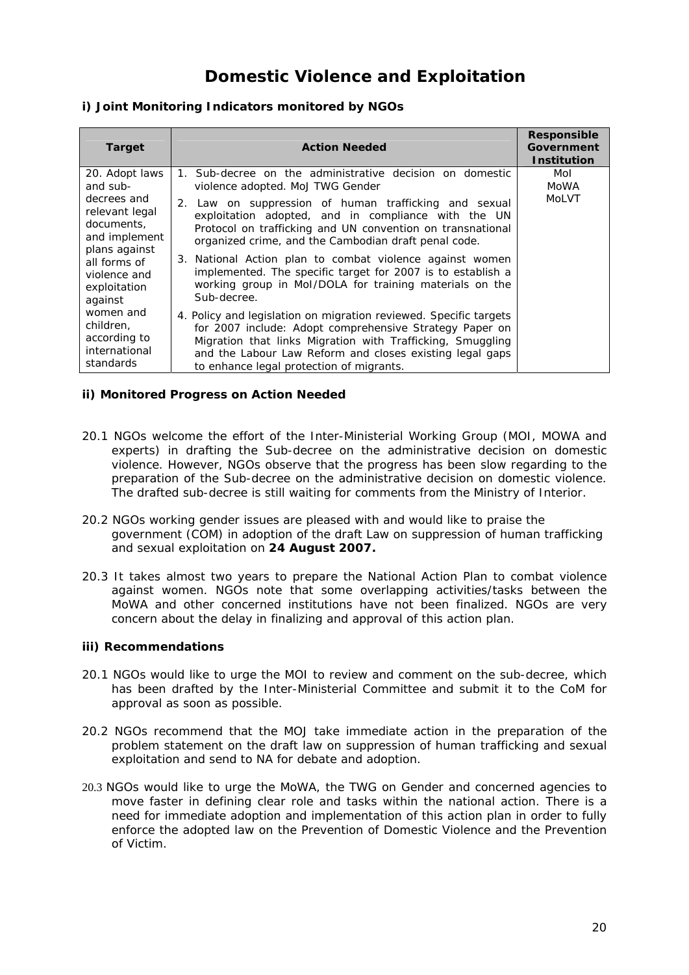## **Domestic Violence and Exploitation**

## **i) Joint Monitoring Indicators monitored by NGOs**

| <b>Target</b>                                                                                                                            | <b>Action Needed</b>                                                                                                                                                                                                                                                                                                                                                                                                                    | Responsible<br><b>Government</b><br><b>Institution</b> |
|------------------------------------------------------------------------------------------------------------------------------------------|-----------------------------------------------------------------------------------------------------------------------------------------------------------------------------------------------------------------------------------------------------------------------------------------------------------------------------------------------------------------------------------------------------------------------------------------|--------------------------------------------------------|
| 20. Adopt laws<br>and sub-                                                                                                               | 1. Sub-decree on the administrative decision on domestic<br>violence adopted. MoJ TWG Gender                                                                                                                                                                                                                                                                                                                                            | Mol<br>MoWA                                            |
| decrees and<br>relevant legal<br>documents.<br>and implement<br>plans against<br>all forms of<br>violence and<br>exploitation<br>against | 2. Law on suppression of human trafficking and sexual<br>exploitation adopted, and in compliance with the UN<br>Protocol on trafficking and UN convention on transnational<br>organized crime, and the Cambodian draft penal code.<br>3. National Action plan to combat violence against women<br>implemented. The specific target for 2007 is to establish a<br>working group in Mol/DOLA for training materials on the<br>Sub-decree. | MoLVT                                                  |
| women and<br>children.<br>according to<br>international<br>standards                                                                     | 4. Policy and legislation on migration reviewed. Specific targets<br>for 2007 include: Adopt comprehensive Strategy Paper on<br>Migration that links Migration with Trafficking, Smuggling<br>and the Labour Law Reform and closes existing legal gaps<br>to enhance legal protection of migrants.                                                                                                                                      |                                                        |

## **ii) Monitored Progress on Action Needed**

- 20.1 NGOs welcome the effort of the Inter-Ministerial Working Group (MOI, MOWA and experts) in drafting the Sub-decree on the administrative decision on domestic violence. However, NGOs observe that the progress has been slow regarding to the preparation of the Sub-decree on the administrative decision on domestic violence. The drafted sub-decree is still waiting for comments from the Ministry of Interior.
- 20.2 NGOs working gender issues are pleased with and would like to praise the government (COM) in adoption of the draft Law on suppression of human trafficking and sexual exploitation on **24 August 2007.**
- 20.3 It takes almost two years to prepare the National Action Plan to combat violence against women. NGOs note that some overlapping activities/tasks between the MoWA and other concerned institutions have not been finalized. NGOs are very concern about the delay in finalizing and approval of this action plan.

- 20.1 NGOs would like to urge the MOI to review and comment on the sub-decree, which has been drafted by the Inter-Ministerial Committee and submit it to the CoM for approval as soon as possible.
- 20.2 NGOs recommend that the MOJ take immediate action in the preparation of the problem statement on the draft law on suppression of human trafficking and sexual exploitation and send to NA for debate and adoption.
- 20.3 NGOs would like to urge the MoWA, the TWG on Gender and concerned agencies to move faster in defining clear role and tasks within the national action. There is a need for immediate adoption and implementation of this action plan in order to fully enforce the adopted law on the Prevention of Domestic Violence and the Prevention of Victim.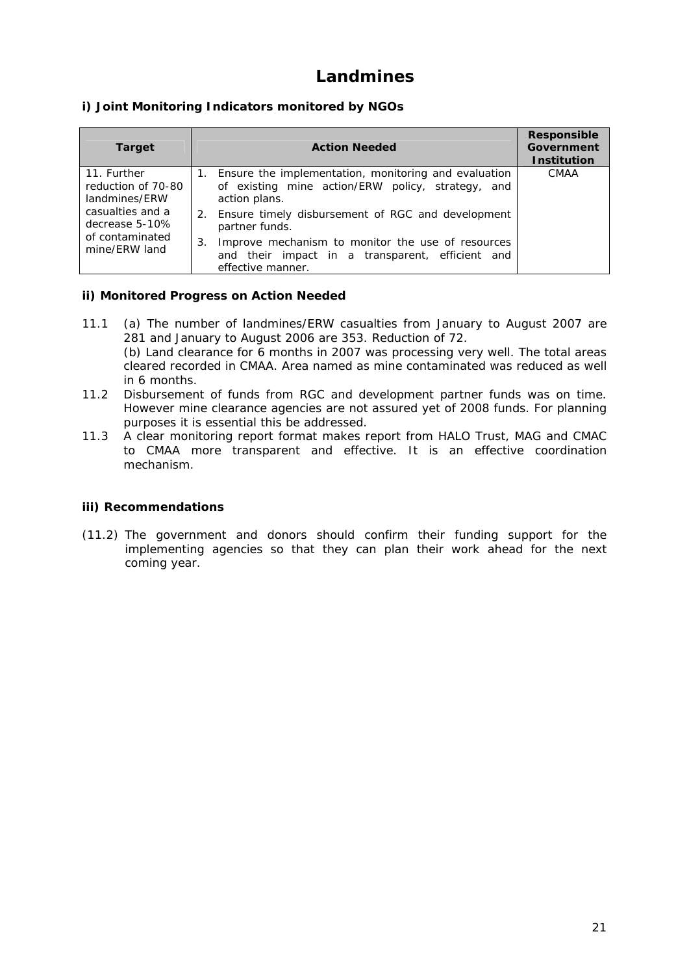## **Landmines**

## **i) Joint Monitoring Indicators monitored by NGOs**

| <b>Target</b>                                                                                                                | <b>Action Needed</b>                                                                                                                                                                                    | <b>Responsible</b><br>Government<br><b>Institution</b> |
|------------------------------------------------------------------------------------------------------------------------------|---------------------------------------------------------------------------------------------------------------------------------------------------------------------------------------------------------|--------------------------------------------------------|
| 11. Further<br>reduction of 70-80<br>landmines/ERW<br>casualties and a<br>decrease 5-10%<br>of contaminated<br>mine/ERW land | 1. Ensure the implementation, monitoring and evaluation<br>of existing mine action/ERW policy, strategy, and<br>action plans.<br>2. Ensure timely disbursement of RGC and development<br>partner funds. | <b>CMAA</b>                                            |
|                                                                                                                              | Improve mechanism to monitor the use of resources<br>3.<br>and their impact in a transparent, efficient and<br>effective manner.                                                                        |                                                        |

### **ii) Monitored Progress on Action Needed**

- 11.1 (a) The number of landmines/ERW casualties from January to August 2007 are 281 and January to August 2006 are 353. Reduction of 72. (b) Land clearance for 6 months in 2007 was processing very well. The total areas cleared recorded in CMAA. Area named as mine contaminated was reduced as well in 6 months.
- 11.2 Disbursement of funds from RGC and development partner funds was on time. However mine clearance agencies are not assured yet of 2008 funds. For planning purposes it is essential this be addressed.
- 11.3 A clear monitoring report format makes report from HALO Trust, MAG and CMAC to CMAA more transparent and effective. It is an effective coordination mechanism.

### **iii) Recommendations**

(11.2) The government and donors should confirm their funding support for the implementing agencies so that they can plan their work ahead for the next coming year.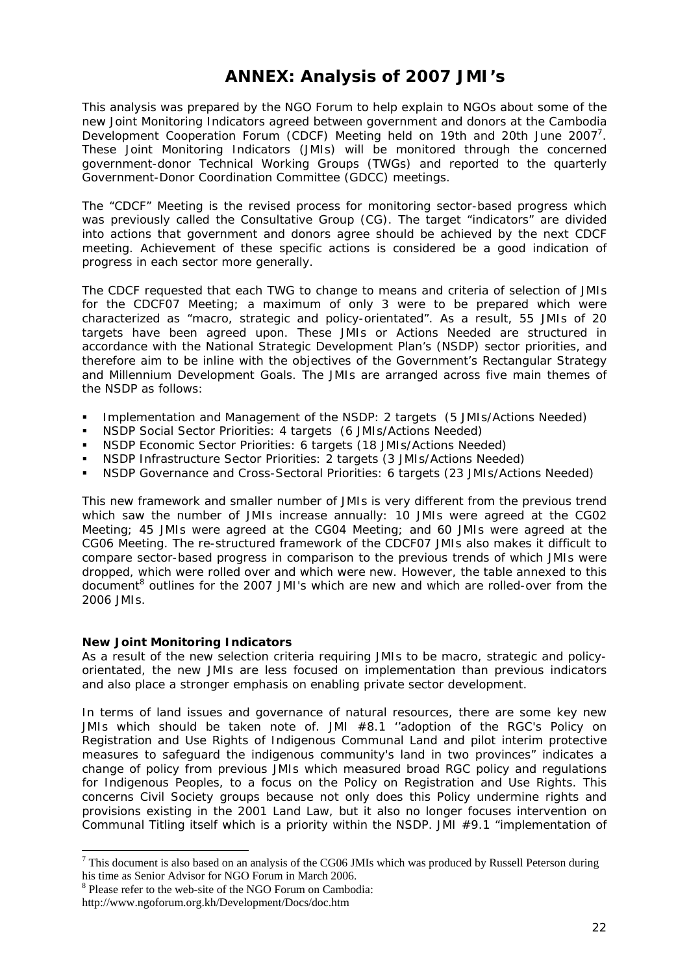## **ANNEX: Analysis of 2007 JMI's**

This analysis was prepared by the NGO Forum to help explain to NGOs about some of the new Joint Monitoring Indicators agreed between government and donors at the Cambodia Development Cooperation Forum (CDCF) Meeting held on 19th and 20th June 2007<sup>7</sup>. These Joint Monitoring Indicators (JMIs) will be monitored through the concerned government-donor Technical Working Groups (TWGs) and reported to the quarterly Government-Donor Coordination Committee (GDCC) meetings.

The "CDCF" Meeting is the revised process for monitoring sector-based progress which was previously called the Consultative Group (CG). The target "indicators" are divided into actions that government and donors agree should be achieved by the next CDCF meeting. Achievement of these specific actions is considered be a good indication of progress in each sector more generally.

The CDCF requested that each TWG to change to means and criteria of selection of JMIs for the CDCF07 Meeting; a maximum of only 3 were to be prepared which were characterized as "macro, strategic and policy-orientated". As a result, 55 JMIs of 20 targets have been agreed upon. These JMIs or Actions Needed are structured in accordance with the National Strategic Development Plan's (NSDP) sector priorities, and therefore aim to be inline with the objectives of the Government's Rectangular Strategy and Millennium Development Goals. The JMIs are arranged across five main themes of the NSDP as follows:

- Implementation and Management of the NSDP: 2 targets (5 JMIs/Actions Needed)
- NSDP Social Sector Priorities: 4 targets (6 JMIs/Actions Needed)
- NSDP Economic Sector Priorities: 6 targets (18 JMIs/Actions Needed)
- NSDP Infrastructure Sector Priorities: 2 targets (3 JMIs/Actions Needed)
- NSDP Governance and Cross-Sectoral Priorities: 6 targets (23 JMIs/Actions Needed)

This new framework and smaller number of JMIs is very different from the previous trend which saw the number of JMIs increase annually: 10 JMIs were agreed at the CG02 Meeting; 45 JMIs were agreed at the CG04 Meeting; and 60 JMIs were agreed at the CG06 Meeting. The re-structured framework of the CDCF07 JMIs also makes it difficult to compare sector-based progress in comparison to the previous trends of which JMIs were dropped, which were rolled over and which were new. However, the table annexed to this document<sup>8</sup> outlines for the 2007 JMI's which are new and which are rolled-over from the 2006 JMIs.

### **New Joint Monitoring Indicators**

As a result of the new selection criteria requiring JMIs to be macro, strategic and policyorientated, the new JMIs are less focused on implementation than previous indicators and also place a stronger emphasis on enabling private sector development.

In terms of land issues and governance of natural resources, there are some key new JMIs which should be taken note of. JMI #8.1 ''*adoption of the RGC's Policy on Registration and Use Rights of Indigenous Communal Land and pilot interim protective measures to safeguard the indigenous community's land in two provinces*" indicates a change of policy from previous JMIs which measured broad RGC policy and regulations for Indigenous Peoples, to a focus on the Policy on Registration and Use Rights. This concerns Civil Society groups because not only does this Policy undermine rights and provisions existing in the 2001 Land Law, but it also no longer focuses intervention on Communal Titling itself which is a priority within the NSDP. JMI #9.1 *"implementation of* 

-

 $<sup>7</sup>$  This document is also based on an analysis of the CG06 JMIs which was produced by Russell Peterson during</sup> his time as Senior Advisor for NGO Forum in March 2006.

<sup>8</sup> Please refer to the web-site of the NGO Forum on Cambodia:

http://www.ngoforum.org.kh/Development/Docs/doc.htm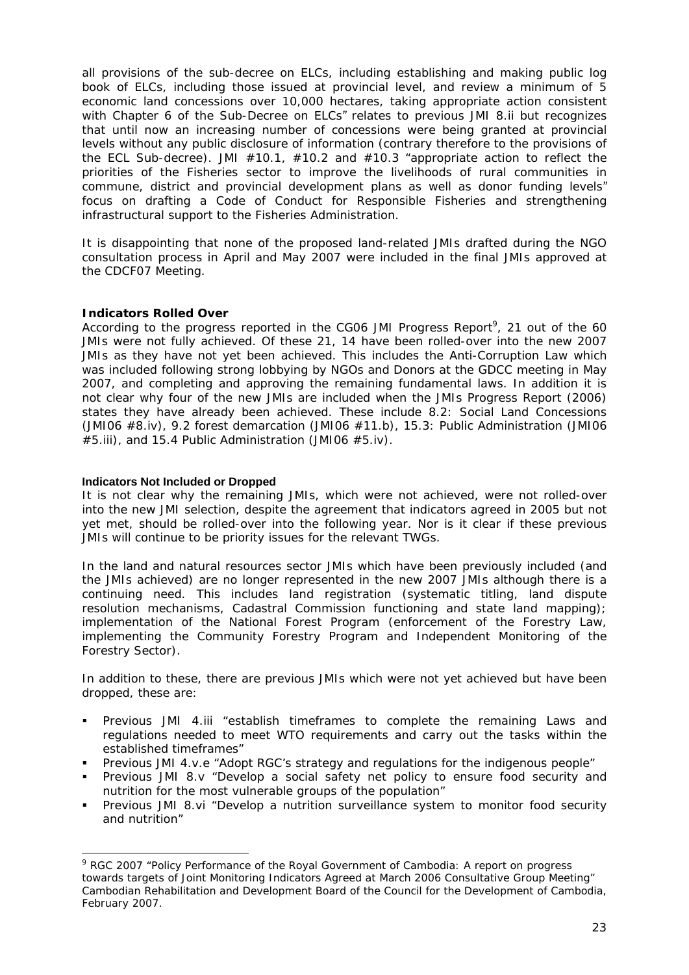*all provisions of the sub-decree on ELCs, including establishing and making public log book of ELCs, including those issued at provincial level, and review a minimum of 5 economic land concessions over 10,000 hectares, taking appropriate action consistent with Chapter 6 of the Sub-Decree on ELCs"* relates to previous JMI 8.ii but recognizes that until now an increasing number of concessions were being granted at provincial levels without any public disclosure of information (contrary therefore to the provisions of the ECL Sub-decree). JMI #10.1, #10.2 and #10.3 *"appropriate action to reflect the priorities of the Fisheries sector to improve the livelihoods of rural communities in commune, district and provincial development plans as well as donor funding levels"* focus on drafting a Code of Conduct for Responsible Fisheries and strengthening infrastructural support to the Fisheries Administration.

It is disappointing that none of the proposed land-related JMIs drafted during the NGO consultation process in April and May 2007 were included in the final JMIs approved at the CDCF07 Meeting.

## **Indicators Rolled Over**

According to the progress reported in the CG06 JMI Progress Report<sup>9</sup>, 21 out of the 60 JMIs were not fully achieved. Of these 21, 14 have been rolled-over into the new 2007 JMIs as they have not yet been achieved. This includes the Anti-Corruption Law which was included following strong lobbying by NGOs and Donors at the GDCC meeting in May 2007, and completing and approving the remaining fundamental laws. In addition it is not clear why four of the new JMIs are included when the JMIs Progress Report (2006) states they have already been achieved. These include 8.2: Social Land Concessions (JMI06 #8.iv), 9.2 forest demarcation (JMI06 #11.b), 15.3: Public Administration (JMI06 #5.iii), and 15.4 Public Administration (JMI06 #5.iv).

### **Indicators Not Included or Dropped**

-

It is not clear why the remaining JMIs, which were not achieved, were not rolled-over into the new JMI selection, despite the agreement that indicators agreed in 2005 but not yet met, should be rolled-over into the following year. Nor is it clear if these previous JMIs will continue to be priority issues for the relevant TWGs.

In the land and natural resources sector JMIs which have been previously included (and the JMIs achieved) are no longer represented in the new 2007 JMIs although there is a continuing need. This includes land registration (systematic titling, land dispute resolution mechanisms, Cadastral Commission functioning and state land mapping); implementation of the National Forest Program (enforcement of the Forestry Law, implementing the Community Forestry Program and Independent Monitoring of the Forestry Sector).

In addition to these, there are previous JMIs which were not yet achieved but have been dropped, these are:

- Previous JMI 4.iii "establish timeframes to complete the remaining Laws and regulations needed to meet WTO requirements and carry out the tasks within the established timeframes"
- Previous JMI 4.v.e "Adopt RGC's strategy and regulations for the indigenous people"
- Previous JMI 8.v "Develop a social safety net policy to ensure food security and nutrition for the most vulnerable groups of the population"
- Previous JMI 8.vi "Develop a nutrition surveillance system to monitor food security and nutrition"

<sup>&</sup>lt;sup>9</sup> RGC 2007 "Policy Performance of the Royal Government of Cambodia: A report on progress towards targets of Joint Monitoring Indicators Agreed at March 2006 Consultative Group Meeting" Cambodian Rehabilitation and Development Board of the Council for the Development of Cambodia, February 2007.